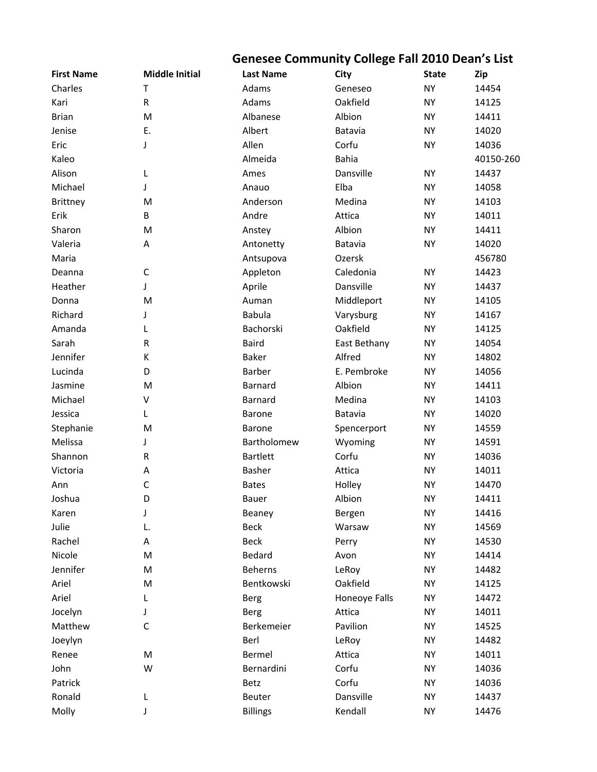## **Genesee Community College Fall 2010 Dean's List**

| Charles<br>Adams<br><b>NY</b><br>14454<br>Geneseo<br>т<br>${\sf R}$<br>Adams<br>Oakfield<br>Kari<br><b>NY</b><br>14125<br>M<br>Albanese<br><b>Brian</b><br>Albion<br><b>NY</b><br>14411<br>E.<br>Albert<br>14020<br>Jenise<br>Batavia<br><b>NY</b><br>Allen<br>Eric<br>Corfu<br><b>NY</b><br>14036<br>J<br><b>Bahia</b><br>Kaleo<br>Almeida<br>40150-260<br>Alison<br>Dansville<br><b>NY</b><br>14437<br>L<br>Ames<br>Michael<br>Elba<br><b>NY</b><br>14058<br>J<br>Anauo<br>M<br>Anderson<br>Medina<br><b>NY</b><br>14103<br><b>Brittney</b><br>Erik<br>B<br>Andre<br>Attica<br><b>NY</b><br>14011<br>M<br>Albion<br>Sharon<br><b>NY</b><br>14411<br>Anstey<br>Valeria<br><b>NY</b><br>14020<br>A<br>Antonetty<br>Batavia<br>Maria<br>456780<br>Antsupova<br>Ozersk<br>$\mathsf C$<br>Appleton<br>Caledonia<br><b>NY</b><br>14423<br>Deanna<br>Aprile<br>Dansville<br>Heather<br><b>NY</b><br>14437<br>J<br>M<br>Middleport<br><b>NY</b><br>14105<br>Donna<br>Auman<br>Richard<br><b>Babula</b><br>Varysburg<br><b>NY</b><br>14167<br>J<br>Bachorski<br>Oakfield<br>Amanda<br><b>NY</b><br>14125<br>L<br>Sarah<br>${\sf R}$<br><b>Baird</b><br>East Bethany<br><b>NY</b><br>14054<br>Jennifer<br>Baker<br>Alfred<br>К<br><b>NY</b><br>14802<br>Lucinda<br>D<br>Barber<br>E. Pembroke<br>14056<br><b>NY</b><br>Jasmine<br>M<br><b>Barnard</b><br>Albion<br><b>NY</b><br>14411<br>$\sf V$<br>Medina<br>Michael<br>Barnard<br><b>NY</b><br>14103<br>Jessica<br>Batavia<br><b>NY</b><br>14020<br>L<br>Barone<br>Stephanie<br>M<br>Spencerport<br><b>NY</b><br>14559<br>Barone<br>Melissa<br>J<br>Bartholomew<br>Wyoming<br><b>NY</b><br>14591<br><b>Bartlett</b><br>Shannon<br>${\sf R}$<br>Corfu<br><b>NY</b><br>14036<br>14011<br>Victoria<br>Basher<br>Attica<br><b>NY</b><br>Α<br>C<br>Holley<br><b>NY</b><br>14470<br>Ann<br><b>Bates</b><br>Joshua<br>D<br>Albion<br><b>NY</b><br>14411<br><b>Bauer</b><br>14416<br>Karen<br>J<br>Beaney<br>Bergen<br>NY<br>Julie<br><b>Beck</b><br>14569<br>Warsaw<br><b>NY</b><br>L.<br>Rachel<br><b>Beck</b><br><b>NY</b><br>14530<br>A<br>Perry<br>Nicole<br>M<br>Bedard<br><b>NY</b><br>14414<br>Avon<br>Jennifer<br>M<br>Beherns<br>LeRoy<br><b>NY</b><br>14482<br>Ariel<br>Bentkowski<br>Oakfield<br>M<br><b>NY</b><br>14125<br>Ariel<br>Honeoye Falls<br><b>NY</b><br>14472<br><b>Berg</b><br>L<br>Jocelyn<br>Attica<br>14011<br>J<br>NY<br><b>Berg</b><br>$\mathsf C$<br>Pavilion<br>Matthew<br>Berkemeier<br><b>NY</b><br>14525<br>Berl<br>14482<br>Joeylyn<br>LeRoy<br><b>NY</b><br>Bermel<br>Renee<br>M<br>Attica<br><b>NY</b><br>14011<br>John<br>W<br>Corfu<br>14036<br>Bernardini<br><b>NY</b><br>Patrick<br>Corfu<br>14036<br>Betz<br>NY.<br>Dansville<br>Ronald<br>14437<br>Beuter<br><b>NY</b><br>L | <b>First Name</b> | <b>Middle Initial</b> | <b>Last Name</b> | City    | <b>State</b> | Zip   |
|----------------------------------------------------------------------------------------------------------------------------------------------------------------------------------------------------------------------------------------------------------------------------------------------------------------------------------------------------------------------------------------------------------------------------------------------------------------------------------------------------------------------------------------------------------------------------------------------------------------------------------------------------------------------------------------------------------------------------------------------------------------------------------------------------------------------------------------------------------------------------------------------------------------------------------------------------------------------------------------------------------------------------------------------------------------------------------------------------------------------------------------------------------------------------------------------------------------------------------------------------------------------------------------------------------------------------------------------------------------------------------------------------------------------------------------------------------------------------------------------------------------------------------------------------------------------------------------------------------------------------------------------------------------------------------------------------------------------------------------------------------------------------------------------------------------------------------------------------------------------------------------------------------------------------------------------------------------------------------------------------------------------------------------------------------------------------------------------------------------------------------------------------------------------------------------------------------------------------------------------------------------------------------------------------------------------------------------------------------------------------------------------------------------------------------------------------------------------------------------------------------------------------------------------------------------------------------------------------------------------------------------------------------------------------------------------------------------------------------------------------------|-------------------|-----------------------|------------------|---------|--------------|-------|
|                                                                                                                                                                                                                                                                                                                                                                                                                                                                                                                                                                                                                                                                                                                                                                                                                                                                                                                                                                                                                                                                                                                                                                                                                                                                                                                                                                                                                                                                                                                                                                                                                                                                                                                                                                                                                                                                                                                                                                                                                                                                                                                                                                                                                                                                                                                                                                                                                                                                                                                                                                                                                                                                                                                                                          |                   |                       |                  |         |              |       |
|                                                                                                                                                                                                                                                                                                                                                                                                                                                                                                                                                                                                                                                                                                                                                                                                                                                                                                                                                                                                                                                                                                                                                                                                                                                                                                                                                                                                                                                                                                                                                                                                                                                                                                                                                                                                                                                                                                                                                                                                                                                                                                                                                                                                                                                                                                                                                                                                                                                                                                                                                                                                                                                                                                                                                          |                   |                       |                  |         |              |       |
|                                                                                                                                                                                                                                                                                                                                                                                                                                                                                                                                                                                                                                                                                                                                                                                                                                                                                                                                                                                                                                                                                                                                                                                                                                                                                                                                                                                                                                                                                                                                                                                                                                                                                                                                                                                                                                                                                                                                                                                                                                                                                                                                                                                                                                                                                                                                                                                                                                                                                                                                                                                                                                                                                                                                                          |                   |                       |                  |         |              |       |
|                                                                                                                                                                                                                                                                                                                                                                                                                                                                                                                                                                                                                                                                                                                                                                                                                                                                                                                                                                                                                                                                                                                                                                                                                                                                                                                                                                                                                                                                                                                                                                                                                                                                                                                                                                                                                                                                                                                                                                                                                                                                                                                                                                                                                                                                                                                                                                                                                                                                                                                                                                                                                                                                                                                                                          |                   |                       |                  |         |              |       |
|                                                                                                                                                                                                                                                                                                                                                                                                                                                                                                                                                                                                                                                                                                                                                                                                                                                                                                                                                                                                                                                                                                                                                                                                                                                                                                                                                                                                                                                                                                                                                                                                                                                                                                                                                                                                                                                                                                                                                                                                                                                                                                                                                                                                                                                                                                                                                                                                                                                                                                                                                                                                                                                                                                                                                          |                   |                       |                  |         |              |       |
|                                                                                                                                                                                                                                                                                                                                                                                                                                                                                                                                                                                                                                                                                                                                                                                                                                                                                                                                                                                                                                                                                                                                                                                                                                                                                                                                                                                                                                                                                                                                                                                                                                                                                                                                                                                                                                                                                                                                                                                                                                                                                                                                                                                                                                                                                                                                                                                                                                                                                                                                                                                                                                                                                                                                                          |                   |                       |                  |         |              |       |
|                                                                                                                                                                                                                                                                                                                                                                                                                                                                                                                                                                                                                                                                                                                                                                                                                                                                                                                                                                                                                                                                                                                                                                                                                                                                                                                                                                                                                                                                                                                                                                                                                                                                                                                                                                                                                                                                                                                                                                                                                                                                                                                                                                                                                                                                                                                                                                                                                                                                                                                                                                                                                                                                                                                                                          |                   |                       |                  |         |              |       |
|                                                                                                                                                                                                                                                                                                                                                                                                                                                                                                                                                                                                                                                                                                                                                                                                                                                                                                                                                                                                                                                                                                                                                                                                                                                                                                                                                                                                                                                                                                                                                                                                                                                                                                                                                                                                                                                                                                                                                                                                                                                                                                                                                                                                                                                                                                                                                                                                                                                                                                                                                                                                                                                                                                                                                          |                   |                       |                  |         |              |       |
|                                                                                                                                                                                                                                                                                                                                                                                                                                                                                                                                                                                                                                                                                                                                                                                                                                                                                                                                                                                                                                                                                                                                                                                                                                                                                                                                                                                                                                                                                                                                                                                                                                                                                                                                                                                                                                                                                                                                                                                                                                                                                                                                                                                                                                                                                                                                                                                                                                                                                                                                                                                                                                                                                                                                                          |                   |                       |                  |         |              |       |
|                                                                                                                                                                                                                                                                                                                                                                                                                                                                                                                                                                                                                                                                                                                                                                                                                                                                                                                                                                                                                                                                                                                                                                                                                                                                                                                                                                                                                                                                                                                                                                                                                                                                                                                                                                                                                                                                                                                                                                                                                                                                                                                                                                                                                                                                                                                                                                                                                                                                                                                                                                                                                                                                                                                                                          |                   |                       |                  |         |              |       |
|                                                                                                                                                                                                                                                                                                                                                                                                                                                                                                                                                                                                                                                                                                                                                                                                                                                                                                                                                                                                                                                                                                                                                                                                                                                                                                                                                                                                                                                                                                                                                                                                                                                                                                                                                                                                                                                                                                                                                                                                                                                                                                                                                                                                                                                                                                                                                                                                                                                                                                                                                                                                                                                                                                                                                          |                   |                       |                  |         |              |       |
|                                                                                                                                                                                                                                                                                                                                                                                                                                                                                                                                                                                                                                                                                                                                                                                                                                                                                                                                                                                                                                                                                                                                                                                                                                                                                                                                                                                                                                                                                                                                                                                                                                                                                                                                                                                                                                                                                                                                                                                                                                                                                                                                                                                                                                                                                                                                                                                                                                                                                                                                                                                                                                                                                                                                                          |                   |                       |                  |         |              |       |
|                                                                                                                                                                                                                                                                                                                                                                                                                                                                                                                                                                                                                                                                                                                                                                                                                                                                                                                                                                                                                                                                                                                                                                                                                                                                                                                                                                                                                                                                                                                                                                                                                                                                                                                                                                                                                                                                                                                                                                                                                                                                                                                                                                                                                                                                                                                                                                                                                                                                                                                                                                                                                                                                                                                                                          |                   |                       |                  |         |              |       |
|                                                                                                                                                                                                                                                                                                                                                                                                                                                                                                                                                                                                                                                                                                                                                                                                                                                                                                                                                                                                                                                                                                                                                                                                                                                                                                                                                                                                                                                                                                                                                                                                                                                                                                                                                                                                                                                                                                                                                                                                                                                                                                                                                                                                                                                                                                                                                                                                                                                                                                                                                                                                                                                                                                                                                          |                   |                       |                  |         |              |       |
|                                                                                                                                                                                                                                                                                                                                                                                                                                                                                                                                                                                                                                                                                                                                                                                                                                                                                                                                                                                                                                                                                                                                                                                                                                                                                                                                                                                                                                                                                                                                                                                                                                                                                                                                                                                                                                                                                                                                                                                                                                                                                                                                                                                                                                                                                                                                                                                                                                                                                                                                                                                                                                                                                                                                                          |                   |                       |                  |         |              |       |
|                                                                                                                                                                                                                                                                                                                                                                                                                                                                                                                                                                                                                                                                                                                                                                                                                                                                                                                                                                                                                                                                                                                                                                                                                                                                                                                                                                                                                                                                                                                                                                                                                                                                                                                                                                                                                                                                                                                                                                                                                                                                                                                                                                                                                                                                                                                                                                                                                                                                                                                                                                                                                                                                                                                                                          |                   |                       |                  |         |              |       |
|                                                                                                                                                                                                                                                                                                                                                                                                                                                                                                                                                                                                                                                                                                                                                                                                                                                                                                                                                                                                                                                                                                                                                                                                                                                                                                                                                                                                                                                                                                                                                                                                                                                                                                                                                                                                                                                                                                                                                                                                                                                                                                                                                                                                                                                                                                                                                                                                                                                                                                                                                                                                                                                                                                                                                          |                   |                       |                  |         |              |       |
|                                                                                                                                                                                                                                                                                                                                                                                                                                                                                                                                                                                                                                                                                                                                                                                                                                                                                                                                                                                                                                                                                                                                                                                                                                                                                                                                                                                                                                                                                                                                                                                                                                                                                                                                                                                                                                                                                                                                                                                                                                                                                                                                                                                                                                                                                                                                                                                                                                                                                                                                                                                                                                                                                                                                                          |                   |                       |                  |         |              |       |
|                                                                                                                                                                                                                                                                                                                                                                                                                                                                                                                                                                                                                                                                                                                                                                                                                                                                                                                                                                                                                                                                                                                                                                                                                                                                                                                                                                                                                                                                                                                                                                                                                                                                                                                                                                                                                                                                                                                                                                                                                                                                                                                                                                                                                                                                                                                                                                                                                                                                                                                                                                                                                                                                                                                                                          |                   |                       |                  |         |              |       |
|                                                                                                                                                                                                                                                                                                                                                                                                                                                                                                                                                                                                                                                                                                                                                                                                                                                                                                                                                                                                                                                                                                                                                                                                                                                                                                                                                                                                                                                                                                                                                                                                                                                                                                                                                                                                                                                                                                                                                                                                                                                                                                                                                                                                                                                                                                                                                                                                                                                                                                                                                                                                                                                                                                                                                          |                   |                       |                  |         |              |       |
|                                                                                                                                                                                                                                                                                                                                                                                                                                                                                                                                                                                                                                                                                                                                                                                                                                                                                                                                                                                                                                                                                                                                                                                                                                                                                                                                                                                                                                                                                                                                                                                                                                                                                                                                                                                                                                                                                                                                                                                                                                                                                                                                                                                                                                                                                                                                                                                                                                                                                                                                                                                                                                                                                                                                                          |                   |                       |                  |         |              |       |
|                                                                                                                                                                                                                                                                                                                                                                                                                                                                                                                                                                                                                                                                                                                                                                                                                                                                                                                                                                                                                                                                                                                                                                                                                                                                                                                                                                                                                                                                                                                                                                                                                                                                                                                                                                                                                                                                                                                                                                                                                                                                                                                                                                                                                                                                                                                                                                                                                                                                                                                                                                                                                                                                                                                                                          |                   |                       |                  |         |              |       |
|                                                                                                                                                                                                                                                                                                                                                                                                                                                                                                                                                                                                                                                                                                                                                                                                                                                                                                                                                                                                                                                                                                                                                                                                                                                                                                                                                                                                                                                                                                                                                                                                                                                                                                                                                                                                                                                                                                                                                                                                                                                                                                                                                                                                                                                                                                                                                                                                                                                                                                                                                                                                                                                                                                                                                          |                   |                       |                  |         |              |       |
|                                                                                                                                                                                                                                                                                                                                                                                                                                                                                                                                                                                                                                                                                                                                                                                                                                                                                                                                                                                                                                                                                                                                                                                                                                                                                                                                                                                                                                                                                                                                                                                                                                                                                                                                                                                                                                                                                                                                                                                                                                                                                                                                                                                                                                                                                                                                                                                                                                                                                                                                                                                                                                                                                                                                                          |                   |                       |                  |         |              |       |
|                                                                                                                                                                                                                                                                                                                                                                                                                                                                                                                                                                                                                                                                                                                                                                                                                                                                                                                                                                                                                                                                                                                                                                                                                                                                                                                                                                                                                                                                                                                                                                                                                                                                                                                                                                                                                                                                                                                                                                                                                                                                                                                                                                                                                                                                                                                                                                                                                                                                                                                                                                                                                                                                                                                                                          |                   |                       |                  |         |              |       |
|                                                                                                                                                                                                                                                                                                                                                                                                                                                                                                                                                                                                                                                                                                                                                                                                                                                                                                                                                                                                                                                                                                                                                                                                                                                                                                                                                                                                                                                                                                                                                                                                                                                                                                                                                                                                                                                                                                                                                                                                                                                                                                                                                                                                                                                                                                                                                                                                                                                                                                                                                                                                                                                                                                                                                          |                   |                       |                  |         |              |       |
|                                                                                                                                                                                                                                                                                                                                                                                                                                                                                                                                                                                                                                                                                                                                                                                                                                                                                                                                                                                                                                                                                                                                                                                                                                                                                                                                                                                                                                                                                                                                                                                                                                                                                                                                                                                                                                                                                                                                                                                                                                                                                                                                                                                                                                                                                                                                                                                                                                                                                                                                                                                                                                                                                                                                                          |                   |                       |                  |         |              |       |
|                                                                                                                                                                                                                                                                                                                                                                                                                                                                                                                                                                                                                                                                                                                                                                                                                                                                                                                                                                                                                                                                                                                                                                                                                                                                                                                                                                                                                                                                                                                                                                                                                                                                                                                                                                                                                                                                                                                                                                                                                                                                                                                                                                                                                                                                                                                                                                                                                                                                                                                                                                                                                                                                                                                                                          |                   |                       |                  |         |              |       |
|                                                                                                                                                                                                                                                                                                                                                                                                                                                                                                                                                                                                                                                                                                                                                                                                                                                                                                                                                                                                                                                                                                                                                                                                                                                                                                                                                                                                                                                                                                                                                                                                                                                                                                                                                                                                                                                                                                                                                                                                                                                                                                                                                                                                                                                                                                                                                                                                                                                                                                                                                                                                                                                                                                                                                          |                   |                       |                  |         |              |       |
|                                                                                                                                                                                                                                                                                                                                                                                                                                                                                                                                                                                                                                                                                                                                                                                                                                                                                                                                                                                                                                                                                                                                                                                                                                                                                                                                                                                                                                                                                                                                                                                                                                                                                                                                                                                                                                                                                                                                                                                                                                                                                                                                                                                                                                                                                                                                                                                                                                                                                                                                                                                                                                                                                                                                                          |                   |                       |                  |         |              |       |
|                                                                                                                                                                                                                                                                                                                                                                                                                                                                                                                                                                                                                                                                                                                                                                                                                                                                                                                                                                                                                                                                                                                                                                                                                                                                                                                                                                                                                                                                                                                                                                                                                                                                                                                                                                                                                                                                                                                                                                                                                                                                                                                                                                                                                                                                                                                                                                                                                                                                                                                                                                                                                                                                                                                                                          |                   |                       |                  |         |              |       |
|                                                                                                                                                                                                                                                                                                                                                                                                                                                                                                                                                                                                                                                                                                                                                                                                                                                                                                                                                                                                                                                                                                                                                                                                                                                                                                                                                                                                                                                                                                                                                                                                                                                                                                                                                                                                                                                                                                                                                                                                                                                                                                                                                                                                                                                                                                                                                                                                                                                                                                                                                                                                                                                                                                                                                          |                   |                       |                  |         |              |       |
|                                                                                                                                                                                                                                                                                                                                                                                                                                                                                                                                                                                                                                                                                                                                                                                                                                                                                                                                                                                                                                                                                                                                                                                                                                                                                                                                                                                                                                                                                                                                                                                                                                                                                                                                                                                                                                                                                                                                                                                                                                                                                                                                                                                                                                                                                                                                                                                                                                                                                                                                                                                                                                                                                                                                                          |                   |                       |                  |         |              |       |
|                                                                                                                                                                                                                                                                                                                                                                                                                                                                                                                                                                                                                                                                                                                                                                                                                                                                                                                                                                                                                                                                                                                                                                                                                                                                                                                                                                                                                                                                                                                                                                                                                                                                                                                                                                                                                                                                                                                                                                                                                                                                                                                                                                                                                                                                                                                                                                                                                                                                                                                                                                                                                                                                                                                                                          |                   |                       |                  |         |              |       |
|                                                                                                                                                                                                                                                                                                                                                                                                                                                                                                                                                                                                                                                                                                                                                                                                                                                                                                                                                                                                                                                                                                                                                                                                                                                                                                                                                                                                                                                                                                                                                                                                                                                                                                                                                                                                                                                                                                                                                                                                                                                                                                                                                                                                                                                                                                                                                                                                                                                                                                                                                                                                                                                                                                                                                          |                   |                       |                  |         |              |       |
|                                                                                                                                                                                                                                                                                                                                                                                                                                                                                                                                                                                                                                                                                                                                                                                                                                                                                                                                                                                                                                                                                                                                                                                                                                                                                                                                                                                                                                                                                                                                                                                                                                                                                                                                                                                                                                                                                                                                                                                                                                                                                                                                                                                                                                                                                                                                                                                                                                                                                                                                                                                                                                                                                                                                                          |                   |                       |                  |         |              |       |
|                                                                                                                                                                                                                                                                                                                                                                                                                                                                                                                                                                                                                                                                                                                                                                                                                                                                                                                                                                                                                                                                                                                                                                                                                                                                                                                                                                                                                                                                                                                                                                                                                                                                                                                                                                                                                                                                                                                                                                                                                                                                                                                                                                                                                                                                                                                                                                                                                                                                                                                                                                                                                                                                                                                                                          |                   |                       |                  |         |              |       |
|                                                                                                                                                                                                                                                                                                                                                                                                                                                                                                                                                                                                                                                                                                                                                                                                                                                                                                                                                                                                                                                                                                                                                                                                                                                                                                                                                                                                                                                                                                                                                                                                                                                                                                                                                                                                                                                                                                                                                                                                                                                                                                                                                                                                                                                                                                                                                                                                                                                                                                                                                                                                                                                                                                                                                          |                   |                       |                  |         |              |       |
|                                                                                                                                                                                                                                                                                                                                                                                                                                                                                                                                                                                                                                                                                                                                                                                                                                                                                                                                                                                                                                                                                                                                                                                                                                                                                                                                                                                                                                                                                                                                                                                                                                                                                                                                                                                                                                                                                                                                                                                                                                                                                                                                                                                                                                                                                                                                                                                                                                                                                                                                                                                                                                                                                                                                                          |                   |                       |                  |         |              |       |
|                                                                                                                                                                                                                                                                                                                                                                                                                                                                                                                                                                                                                                                                                                                                                                                                                                                                                                                                                                                                                                                                                                                                                                                                                                                                                                                                                                                                                                                                                                                                                                                                                                                                                                                                                                                                                                                                                                                                                                                                                                                                                                                                                                                                                                                                                                                                                                                                                                                                                                                                                                                                                                                                                                                                                          |                   |                       |                  |         |              |       |
|                                                                                                                                                                                                                                                                                                                                                                                                                                                                                                                                                                                                                                                                                                                                                                                                                                                                                                                                                                                                                                                                                                                                                                                                                                                                                                                                                                                                                                                                                                                                                                                                                                                                                                                                                                                                                                                                                                                                                                                                                                                                                                                                                                                                                                                                                                                                                                                                                                                                                                                                                                                                                                                                                                                                                          |                   |                       |                  |         |              |       |
|                                                                                                                                                                                                                                                                                                                                                                                                                                                                                                                                                                                                                                                                                                                                                                                                                                                                                                                                                                                                                                                                                                                                                                                                                                                                                                                                                                                                                                                                                                                                                                                                                                                                                                                                                                                                                                                                                                                                                                                                                                                                                                                                                                                                                                                                                                                                                                                                                                                                                                                                                                                                                                                                                                                                                          |                   |                       |                  |         |              |       |
|                                                                                                                                                                                                                                                                                                                                                                                                                                                                                                                                                                                                                                                                                                                                                                                                                                                                                                                                                                                                                                                                                                                                                                                                                                                                                                                                                                                                                                                                                                                                                                                                                                                                                                                                                                                                                                                                                                                                                                                                                                                                                                                                                                                                                                                                                                                                                                                                                                                                                                                                                                                                                                                                                                                                                          |                   |                       |                  |         |              |       |
|                                                                                                                                                                                                                                                                                                                                                                                                                                                                                                                                                                                                                                                                                                                                                                                                                                                                                                                                                                                                                                                                                                                                                                                                                                                                                                                                                                                                                                                                                                                                                                                                                                                                                                                                                                                                                                                                                                                                                                                                                                                                                                                                                                                                                                                                                                                                                                                                                                                                                                                                                                                                                                                                                                                                                          |                   |                       |                  |         |              |       |
|                                                                                                                                                                                                                                                                                                                                                                                                                                                                                                                                                                                                                                                                                                                                                                                                                                                                                                                                                                                                                                                                                                                                                                                                                                                                                                                                                                                                                                                                                                                                                                                                                                                                                                                                                                                                                                                                                                                                                                                                                                                                                                                                                                                                                                                                                                                                                                                                                                                                                                                                                                                                                                                                                                                                                          | Molly             | J                     | <b>Billings</b>  | Kendall | <b>NY</b>    | 14476 |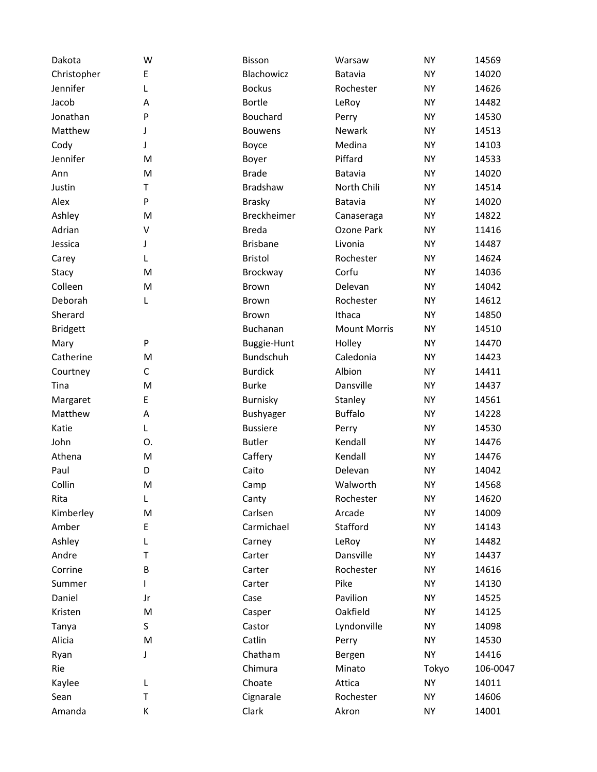| Dakota          | W       | Bisson             | Warsaw              | <b>NY</b> | 14569    |
|-----------------|---------|--------------------|---------------------|-----------|----------|
| Christopher     | E       | Blachowicz         | <b>Batavia</b>      | <b>NY</b> | 14020    |
| Jennifer        | L       | <b>Bockus</b>      | Rochester           | <b>NY</b> | 14626    |
| Jacob           | Α       | <b>Bortle</b>      | LeRoy               | <b>NY</b> | 14482    |
| Jonathan        | P       | <b>Bouchard</b>    | Perry               | <b>NY</b> | 14530    |
| Matthew         | J       | <b>Bouwens</b>     | Newark              | <b>NY</b> | 14513    |
| Cody            | J       | Boyce              | Medina              | <b>NY</b> | 14103    |
| Jennifer        | M       | Boyer              | Piffard             | <b>NY</b> | 14533    |
| Ann             | M       | <b>Brade</b>       | Batavia             | <b>NY</b> | 14020    |
| Justin          | T       | <b>Bradshaw</b>    | North Chili         | <b>NY</b> | 14514    |
| Alex            | P       | <b>Brasky</b>      | Batavia             | <b>NY</b> | 14020    |
| Ashley          | M       | <b>Breckheimer</b> | Canaseraga          | <b>NY</b> | 14822    |
| Adrian          | $\sf V$ | <b>Breda</b>       | Ozone Park          | <b>NY</b> | 11416    |
| Jessica         | J       | <b>Brisbane</b>    | Livonia             | <b>NY</b> | 14487    |
| Carey           | L       | <b>Bristol</b>     | Rochester           | <b>NY</b> | 14624    |
| Stacy           | M       | Brockway           | Corfu               | <b>NY</b> | 14036    |
| Colleen         | M       | Brown              | Delevan             | <b>NY</b> | 14042    |
| Deborah         | L       | <b>Brown</b>       | Rochester           | <b>NY</b> | 14612    |
| Sherard         |         | <b>Brown</b>       | Ithaca              | <b>NY</b> | 14850    |
| <b>Bridgett</b> |         | Buchanan           | <b>Mount Morris</b> | <b>NY</b> | 14510    |
| Mary            | P       | Buggie-Hunt        | Holley              | <b>NY</b> | 14470    |
| Catherine       | M       | Bundschuh          | Caledonia           | <b>NY</b> | 14423    |
| Courtney        | C       | <b>Burdick</b>     | Albion              | <b>NY</b> | 14411    |
| Tina            | M       | <b>Burke</b>       | Dansville           | <b>NY</b> | 14437    |
| Margaret        | E       | Burnisky           | Stanley             | <b>NY</b> | 14561    |
| Matthew         | Α       | Bushyager          | <b>Buffalo</b>      | <b>NY</b> | 14228    |
| Katie           | L       | <b>Bussiere</b>    | Perry               | <b>NY</b> | 14530    |
| John            | О.      | <b>Butler</b>      | Kendall             | <b>NY</b> | 14476    |
| Athena          | M       | Caffery            | Kendall             | <b>NY</b> | 14476    |
| Paul            | D       | Caito              | Delevan             | <b>NY</b> | 14042    |
| Collin          | M       | Camp               | Walworth            | <b>NY</b> | 14568    |
| Rita            | L       | Canty              | Rochester           | <b>NY</b> | 14620    |
| Kimberley       | M       | Carlsen            | Arcade              | <b>NY</b> | 14009    |
| Amber           | E       | Carmichael         | Stafford            | NY        | 14143    |
| Ashley          | L       | Carney             | LeRoy               | <b>NY</b> | 14482    |
| Andre           | Τ       | Carter             | Dansville           | <b>NY</b> | 14437    |
| Corrine         | В       | Carter             | Rochester           | NY        | 14616    |
| Summer          |         | Carter             | Pike                | <b>NY</b> | 14130    |
| Daniel          | Jr      | Case               | Pavilion            | NY        | 14525    |
| Kristen         | M       | Casper             | Oakfield            | NY        | 14125    |
| Tanya           | S       | Castor             | Lyndonville         | NY        | 14098    |
| Alicia          | M       | Catlin             | Perry               | NY        | 14530    |
| Ryan            | J       | Chatham            | Bergen              | <b>NY</b> | 14416    |
| Rie             |         | Chimura            | Minato              | Tokyo     | 106-0047 |
| Kaylee          | L       | Choate             | Attica              | NY        | 14011    |
| Sean            | Τ       | Cignarale          | Rochester           | <b>NY</b> | 14606    |
| Amanda          | К       | Clark              | Akron               | <b>NY</b> | 14001    |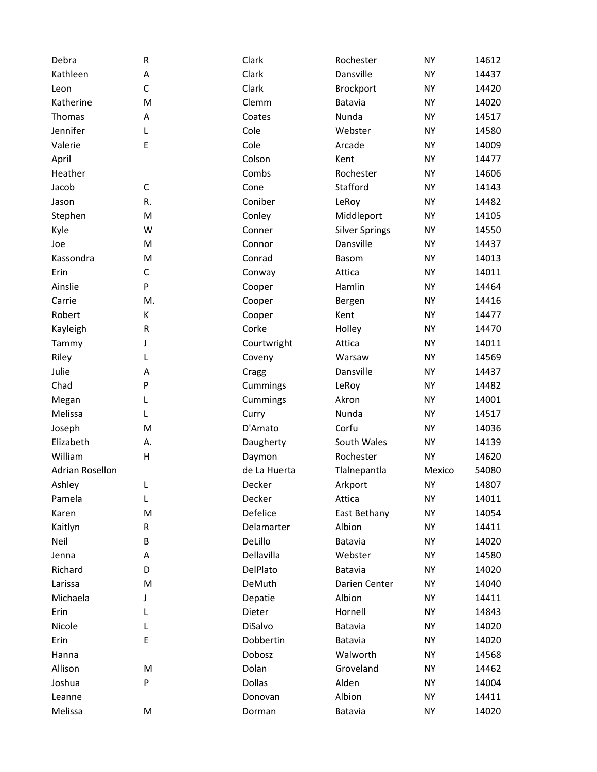| Debra                  | R           | Clark        | Rochester             | <b>NY</b> | 14612 |
|------------------------|-------------|--------------|-----------------------|-----------|-------|
| Kathleen               | А           | Clark        | Dansville             | <b>NY</b> | 14437 |
| Leon                   | C           | Clark        | Brockport             | <b>NY</b> | 14420 |
| Katherine              | M           | Clemm        | Batavia               | <b>NY</b> | 14020 |
| Thomas                 | Α           | Coates       | Nunda                 | <b>NY</b> | 14517 |
| Jennifer               | L           | Cole         | Webster               | <b>NY</b> | 14580 |
| Valerie                | E           | Cole         | Arcade                | <b>NY</b> | 14009 |
| April                  |             | Colson       | Kent                  | <b>NY</b> | 14477 |
| Heather                |             | Combs        | Rochester             | <b>NY</b> | 14606 |
| Jacob                  | С           | Cone         | Stafford              | <b>NY</b> | 14143 |
| Jason                  | R.          | Coniber      | LeRoy                 | <b>NY</b> | 14482 |
| Stephen                | M           | Conley       | Middleport            | <b>NY</b> | 14105 |
| Kyle                   | W           | Conner       | <b>Silver Springs</b> | <b>NY</b> | 14550 |
| Joe                    | M           | Connor       | Dansville             | <b>NY</b> | 14437 |
| Kassondra              | M           | Conrad       | Basom                 | <b>NY</b> | 14013 |
| Erin                   | $\mathsf C$ | Conway       | Attica                | <b>NY</b> | 14011 |
| Ainslie                | P           | Cooper       | Hamlin                | <b>NY</b> | 14464 |
| Carrie                 | M.          | Cooper       | Bergen                | <b>NY</b> | 14416 |
| Robert                 | К           | Cooper       | Kent                  | <b>NY</b> | 14477 |
| Kayleigh               | R           | Corke        | Holley                | <b>NY</b> | 14470 |
| Tammy                  | J           | Courtwright  | Attica                | <b>NY</b> | 14011 |
| Riley                  | L           | Coveny       | Warsaw                | <b>NY</b> | 14569 |
| Julie                  | Α           | Cragg        | Dansville             | <b>NY</b> | 14437 |
| Chad                   | P           | Cummings     | LeRoy                 | <b>NY</b> | 14482 |
| Megan                  | L           | Cummings     | Akron                 | <b>NY</b> | 14001 |
| Melissa                | L           | Curry        | Nunda                 | <b>NY</b> | 14517 |
| Joseph                 | M           | D'Amato      | Corfu                 | <b>NY</b> | 14036 |
| Elizabeth              | Α.          | Daugherty    | South Wales           | <b>NY</b> | 14139 |
| William                | н           | Daymon       | Rochester             | <b>NY</b> | 14620 |
| <b>Adrian Rosellon</b> |             | de La Huerta | Tlalnepantla          | Mexico    | 54080 |
| Ashley                 | L           | Decker       | Arkport               | <b>NY</b> | 14807 |
| Pamela                 | L           | Decker       | Attica                | <b>NY</b> | 14011 |
| Karen                  | M           | Defelice     | East Bethany          | <b>NY</b> | 14054 |
| Kaitlyn                | R           | Delamarter   | Albion                | <b>NY</b> | 14411 |
| Neil                   | B           | DeLillo      | Batavia               | <b>NY</b> | 14020 |
| Jenna                  | А           | Dellavilla   | Webster               | <b>NY</b> | 14580 |
| Richard                | D           | DelPlato     | Batavia               | NY        | 14020 |
| Larissa                | M           | DeMuth       | Darien Center         | NY        | 14040 |
| Michaela               | J           | Depatie      | Albion                | NY        | 14411 |
| Erin                   | L           | Dieter       | Hornell               | <b>NY</b> | 14843 |
| Nicole                 | L           | DiSalvo      | Batavia               | <b>NY</b> | 14020 |
| Erin                   | E           | Dobbertin    | Batavia               | <b>NY</b> | 14020 |
| Hanna                  |             | Dobosz       | Walworth              | <b>NY</b> | 14568 |
| Allison                | M           | Dolan        | Groveland             | NY        | 14462 |
| Joshua                 | P           | Dollas       | Alden                 | NΥ        | 14004 |
| Leanne                 |             | Donovan      | Albion                | NY        | 14411 |
| Melissa                | M           | Dorman       | Batavia               | <b>NY</b> | 14020 |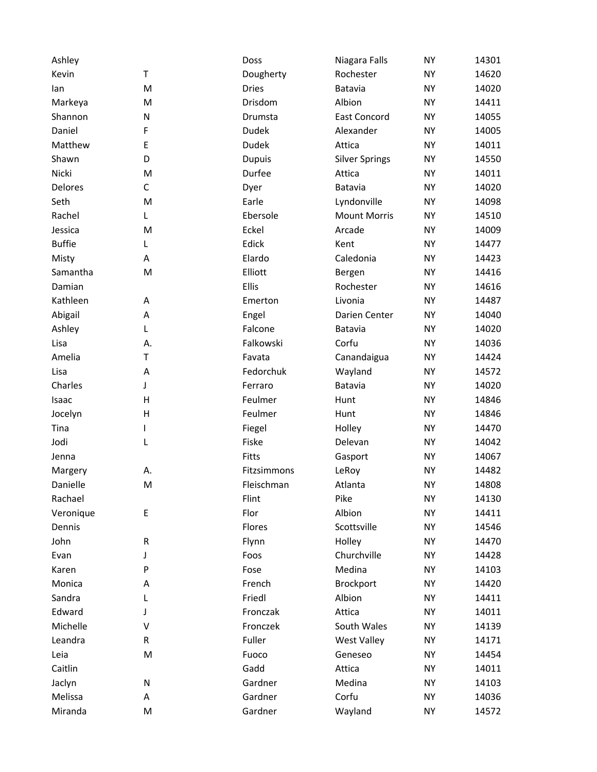| Ashley         |    | Doss          | Niagara Falls         | <b>NY</b> | 14301 |
|----------------|----|---------------|-----------------------|-----------|-------|
| Kevin          | Τ  | Dougherty     | Rochester             | <b>NY</b> | 14620 |
| lan            | M  | <b>Dries</b>  | Batavia               | <b>NY</b> | 14020 |
| Markeya        | M  | Drisdom       | Albion                | <b>NY</b> | 14411 |
| Shannon        | N  | Drumsta       | <b>East Concord</b>   | <b>NY</b> | 14055 |
| Daniel         | F  | Dudek         | Alexander             | <b>NY</b> | 14005 |
| Matthew        | E  | <b>Dudek</b>  | Attica                | <b>NY</b> | 14011 |
| Shawn          | D  | <b>Dupuis</b> | <b>Silver Springs</b> | <b>NY</b> | 14550 |
| Nicki          | M  | Durfee        | Attica                | <b>NY</b> | 14011 |
| <b>Delores</b> | C  | Dyer          | Batavia               | <b>NY</b> | 14020 |
| Seth           | M  | Earle         | Lyndonville           | <b>NY</b> | 14098 |
| Rachel         | L  | Ebersole      | <b>Mount Morris</b>   | <b>NY</b> | 14510 |
| Jessica        | M  | Eckel         | Arcade                | <b>NY</b> | 14009 |
| <b>Buffie</b>  | L  | Edick         | Kent                  | <b>NY</b> | 14477 |
| Misty          | А  | Elardo        | Caledonia             | <b>NY</b> | 14423 |
| Samantha       | M  | Elliott       | Bergen                | <b>NY</b> | 14416 |
| Damian         |    | Ellis         | Rochester             | <b>NY</b> | 14616 |
| Kathleen       | A  | Emerton       | Livonia               | <b>NY</b> | 14487 |
| Abigail        | Α  | Engel         | Darien Center         | <b>NY</b> | 14040 |
| Ashley         | L  | Falcone       | Batavia               | <b>NY</b> | 14020 |
| Lisa           | А. | Falkowski     | Corfu                 | <b>NY</b> | 14036 |
| Amelia         | T  | Favata        | Canandaigua           | <b>NY</b> | 14424 |
| Lisa           | Α  | Fedorchuk     | Wayland               | <b>NY</b> | 14572 |
| Charles        | J  | Ferraro       | Batavia               | <b>NY</b> | 14020 |
| Isaac          | Η  | Feulmer       | Hunt                  | <b>NY</b> | 14846 |
| Jocelyn        | Н  | Feulmer       | Hunt                  | <b>NY</b> | 14846 |
| Tina           | L  | Fiegel        | Holley                | <b>NY</b> | 14470 |
| Jodi           | L  | Fiske         | Delevan               | <b>NY</b> | 14042 |
| Jenna          |    | Fitts         | Gasport               | <b>NY</b> | 14067 |
| Margery        | А. | Fitzsimmons   | LeRoy                 | <b>NY</b> | 14482 |
| Danielle       | M  | Fleischman    | Atlanta               | <b>NY</b> | 14808 |
| Rachael        |    | Flint         | Pike                  | <b>NY</b> | 14130 |
| Veronique      | Е  | Flor          | Albion                | <b>NY</b> | 14411 |
| Dennis         |    | Flores        | Scottsville           | <b>NY</b> | 14546 |
| John           | R  | Flynn         | Holley                | <b>NY</b> | 14470 |
| Evan           | J  | Foos          | Churchville           | <b>NY</b> | 14428 |
| Karen          | P  | Fose          | Medina                | NY        | 14103 |
| Monica         | Α  | French        | Brockport             | <b>NY</b> | 14420 |
| Sandra         | L  | Friedl        | Albion                | ΝY        | 14411 |
| Edward         | J  | Fronczak      | Attica                | <b>NY</b> | 14011 |
| Michelle       | V  | Fronczek      | South Wales           | <b>NY</b> | 14139 |
| Leandra        | R  | Fuller        | <b>West Valley</b>    | <b>NY</b> | 14171 |
| Leia           | M  | Fuoco         | Geneseo               | <b>NY</b> | 14454 |
| Caitlin        |    | Gadd          | Attica                | ΝY        | 14011 |
| Jaclyn         | N  | Gardner       | Medina                | <b>NY</b> | 14103 |
| Melissa        | А  | Gardner       | Corfu                 | <b>NY</b> | 14036 |
| Miranda        | M  | Gardner       | Wayland               | <b>NY</b> | 14572 |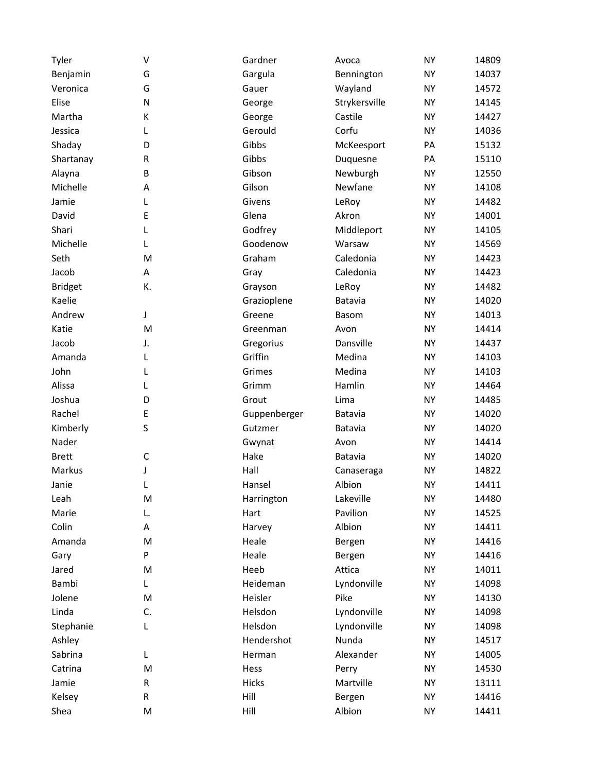| Tyler          | V  | Gardner      | Avoca         | <b>NY</b> | 14809 |
|----------------|----|--------------|---------------|-----------|-------|
| Benjamin       | G  | Gargula      | Bennington    | <b>NY</b> | 14037 |
| Veronica       | G  | Gauer        | Wayland       | <b>NY</b> | 14572 |
| Elise          | N  | George       | Strykersville | <b>NY</b> | 14145 |
| Martha         | К  | George       | Castile       | <b>NY</b> | 14427 |
| Jessica        | L  | Gerould      | Corfu         | <b>NY</b> | 14036 |
| Shaday         | D  | Gibbs        | McKeesport    | PA        | 15132 |
| Shartanay      | R  | Gibbs        | Duquesne      | PA        | 15110 |
| Alayna         | B  | Gibson       | Newburgh      | <b>NY</b> | 12550 |
| Michelle       | Α  | Gilson       | Newfane       | <b>NY</b> | 14108 |
| Jamie          | L  | Givens       | LeRoy         | <b>NY</b> | 14482 |
| David          | E  | Glena        | Akron         | <b>NY</b> | 14001 |
| Shari          | L  | Godfrey      | Middleport    | <b>NY</b> | 14105 |
| Michelle       | L  | Goodenow     | Warsaw        | <b>NY</b> | 14569 |
| Seth           | M  | Graham       | Caledonia     | <b>NY</b> | 14423 |
| Jacob          | Α  | Gray         | Caledonia     | <b>NY</b> | 14423 |
| <b>Bridget</b> | К. | Grayson      | LeRoy         | <b>NY</b> | 14482 |
| Kaelie         |    | Grazioplene  | Batavia       | <b>NY</b> | 14020 |
| Andrew         | J  | Greene       | <b>Basom</b>  | <b>NY</b> | 14013 |
| Katie          | M  | Greenman     | Avon          | <b>NY</b> | 14414 |
| Jacob          | J. | Gregorius    | Dansville     | <b>NY</b> | 14437 |
| Amanda         | L  | Griffin      | Medina        | <b>NY</b> | 14103 |
| John           | L  | Grimes       | Medina        | <b>NY</b> | 14103 |
| Alissa         | L  | Grimm        | Hamlin        | <b>NY</b> | 14464 |
| Joshua         | D  | Grout        | Lima          | <b>NY</b> | 14485 |
| Rachel         | Ε  | Guppenberger | Batavia       | <b>NY</b> | 14020 |
| Kimberly       | S  | Gutzmer      | Batavia       | <b>NY</b> | 14020 |
| Nader          |    | Gwynat       | Avon          | <b>NY</b> | 14414 |
| <b>Brett</b>   | C  | Hake         | Batavia       | <b>NY</b> | 14020 |
| Markus         | J  | Hall         | Canaseraga    | <b>NY</b> | 14822 |
| Janie          | L  | Hansel       | Albion        | <b>NY</b> | 14411 |
| Leah           | M  | Harrington   | Lakeville     | <b>NY</b> | 14480 |
| Marie          | L. | Hart         | Pavilion      | <b>NY</b> | 14525 |
| Colin          | А  | Harvey       | Albion        | <b>NY</b> | 14411 |
| Amanda         | M  | Heale        | Bergen        | <b>NY</b> | 14416 |
| Gary           | P  | Heale        | Bergen        | <b>NY</b> | 14416 |
| Jared          | M  | Heeb         | Attica        | <b>NY</b> | 14011 |
| Bambi          | L  | Heideman     | Lyndonville   | <b>NY</b> | 14098 |
| Jolene         | M  | Heisler      | Pike          | <b>NY</b> | 14130 |
| Linda          | C. | Helsdon      | Lyndonville   | <b>NY</b> | 14098 |
| Stephanie      | L  | Helsdon      | Lyndonville   | <b>NY</b> | 14098 |
| Ashley         |    | Hendershot   | Nunda         | <b>NY</b> | 14517 |
| Sabrina        | L  | Herman       | Alexander     | <b>NY</b> | 14005 |
| Catrina        | M  | Hess         | Perry         | <b>NY</b> | 14530 |
| Jamie          | R  | Hicks        | Martville     | <b>NY</b> | 13111 |
| Kelsey         | R  | Hill         | Bergen        | <b>NY</b> | 14416 |
| Shea           | M  | Hill         | Albion        | <b>NY</b> | 14411 |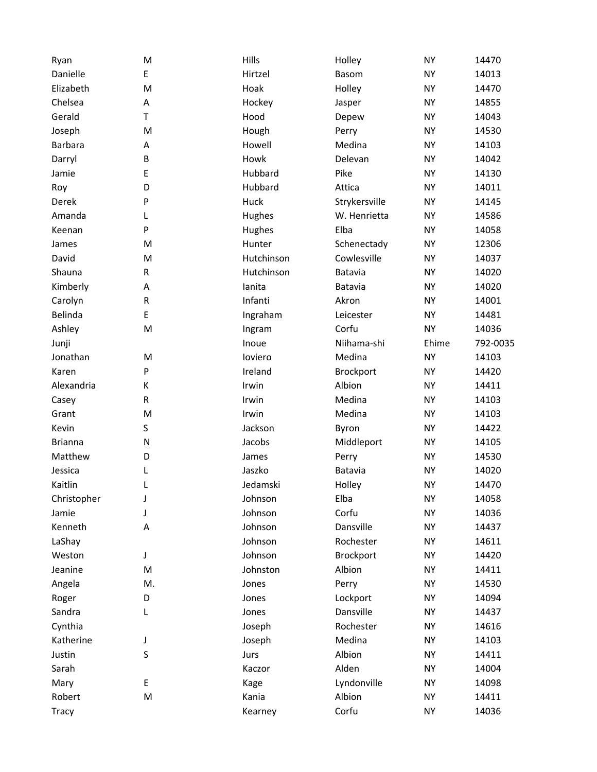| Ryan           | M  | Hills      | Holley        | <b>NY</b> | 14470    |
|----------------|----|------------|---------------|-----------|----------|
| Danielle       | E  | Hirtzel    | Basom         | <b>NY</b> | 14013    |
| Elizabeth      | M  | Hoak       | Holley        | <b>NY</b> | 14470    |
| Chelsea        | Α  | Hockey     | Jasper        | <b>NY</b> | 14855    |
| Gerald         | T. | Hood       | Depew         | <b>NY</b> | 14043    |
| Joseph         | M  | Hough      | Perry         | <b>NY</b> | 14530    |
| Barbara        | Α  | Howell     | Medina        | <b>NY</b> | 14103    |
| Darryl         | B  | Howk       | Delevan       | <b>NY</b> | 14042    |
| Jamie          | E  | Hubbard    | Pike          | <b>NY</b> | 14130    |
| Roy            | D  | Hubbard    | Attica        | <b>NY</b> | 14011    |
| Derek          | P  | Huck       | Strykersville | <b>NY</b> | 14145    |
| Amanda         | L  | Hughes     | W. Henrietta  | <b>NY</b> | 14586    |
| Keenan         | P  | Hughes     | Elba          | <b>NY</b> | 14058    |
| James          | M  | Hunter     | Schenectady   | <b>NY</b> | 12306    |
| David          | M  | Hutchinson | Cowlesville   | <b>NY</b> | 14037    |
| Shauna         | R  | Hutchinson | Batavia       | <b>NY</b> | 14020    |
| Kimberly       | Α  | lanita     | Batavia       | <b>NY</b> | 14020    |
| Carolyn        | R  | Infanti    | Akron         | <b>NY</b> | 14001    |
| Belinda        | E  | Ingraham   | Leicester     | <b>NY</b> | 14481    |
| Ashley         | M  | Ingram     | Corfu         | <b>NY</b> | 14036    |
| Junji          |    | Inoue      | Niihama-shi   | Ehime     | 792-0035 |
| Jonathan       | M  | loviero    | Medina        | <b>NY</b> | 14103    |
| Karen          | P  | Ireland    | Brockport     | <b>NY</b> | 14420    |
| Alexandria     | К  | Irwin      | Albion        | <b>NY</b> | 14411    |
| Casey          | R  | Irwin      | Medina        | <b>NY</b> | 14103    |
| Grant          | M  | Irwin      | Medina        | <b>NY</b> | 14103    |
| Kevin          | S  | Jackson    | Byron         | <b>NY</b> | 14422    |
| <b>Brianna</b> | N  | Jacobs     | Middleport    | <b>NY</b> | 14105    |
| Matthew        | D  | James      | Perry         | <b>NY</b> | 14530    |
| Jessica        | L  | Jaszko     | Batavia       | <b>NY</b> | 14020    |
| Kaitlin        | L  | Jedamski   | Holley        | <b>NY</b> | 14470    |
| Christopher    | J  | Johnson    | Elba          | <b>NY</b> | 14058    |
| Jamie          | J  | Johnson    | Corfu         | <b>NY</b> | 14036    |
| Kenneth        | А  | Johnson    | Dansville     | <b>NY</b> | 14437    |
| LaShay         |    | Johnson    | Rochester     | <b>NY</b> | 14611    |
| Weston         | J  | Johnson    | Brockport     | <b>NY</b> | 14420    |
| Jeanine        | M  | Johnston   | Albion        | <b>NY</b> | 14411    |
| Angela         | M. | Jones      | Perry         | <b>NY</b> | 14530    |
| Roger          | D  | Jones      | Lockport      | <b>NY</b> | 14094    |
| Sandra         | L  | Jones      | Dansville     | <b>NY</b> | 14437    |
| Cynthia        |    | Joseph     | Rochester     | <b>NY</b> | 14616    |
| Katherine      | J  | Joseph     | Medina        | <b>NY</b> | 14103    |
| Justin         | S  | Jurs       | Albion        | <b>NY</b> | 14411    |
| Sarah          |    | Kaczor     | Alden         | <b>NY</b> | 14004    |
| Mary           | Е  | Kage       | Lyndonville   | <b>NY</b> | 14098    |
| Robert         | M  | Kania      | Albion        | <b>NY</b> | 14411    |
| Tracy          |    | Kearney    | Corfu         | <b>NY</b> | 14036    |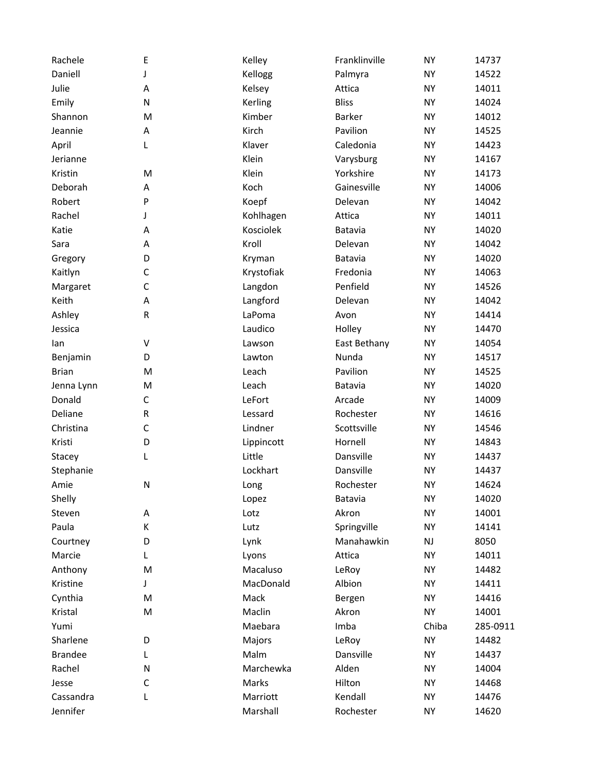| Rachele        | E           | Kelley     | Franklinville | <b>NY</b> | 14737    |
|----------------|-------------|------------|---------------|-----------|----------|
| Daniell        | J           | Kellogg    | Palmyra       | <b>NY</b> | 14522    |
| Julie          | Α           | Kelsey     | Attica        | <b>NY</b> | 14011    |
| Emily          | N           | Kerling    | <b>Bliss</b>  | <b>NY</b> | 14024    |
| Shannon        | M           | Kimber     | <b>Barker</b> | <b>NY</b> | 14012    |
| Jeannie        | Α           | Kirch      | Pavilion      | <b>NY</b> | 14525    |
| April          | L           | Klaver     | Caledonia     | <b>NY</b> | 14423    |
| Jerianne       |             | Klein      | Varysburg     | <b>NY</b> | 14167    |
| Kristin        | M           | Klein      | Yorkshire     | <b>NY</b> | 14173    |
| Deborah        | A           | Koch       | Gainesville   | <b>NY</b> | 14006    |
| Robert         | P           | Koepf      | Delevan       | <b>NY</b> | 14042    |
| Rachel         | J           | Kohlhagen  | Attica        | <b>NY</b> | 14011    |
| Katie          | Α           | Kosciolek  | Batavia       | <b>NY</b> | 14020    |
| Sara           | А           | Kroll      | Delevan       | <b>NY</b> | 14042    |
| Gregory        | D           | Kryman     | Batavia       | <b>NY</b> | 14020    |
| Kaitlyn        | C           | Krystofiak | Fredonia      | <b>NY</b> | 14063    |
| Margaret       | $\mathsf C$ | Langdon    | Penfield      | <b>NY</b> | 14526    |
| Keith          | A           | Langford   | Delevan       | <b>NY</b> | 14042    |
| Ashley         | R           | LaPoma     | Avon          | <b>NY</b> | 14414    |
| Jessica        |             | Laudico    | Holley        | <b>NY</b> | 14470    |
| lan            | V           | Lawson     | East Bethany  | <b>NY</b> | 14054    |
| Benjamin       | D           | Lawton     | Nunda         | <b>NY</b> | 14517    |
| <b>Brian</b>   | M           | Leach      | Pavilion      | <b>NY</b> | 14525    |
| Jenna Lynn     | M           | Leach      | Batavia       | <b>NY</b> | 14020    |
| Donald         | C           | LeFort     | Arcade        | <b>NY</b> | 14009    |
| Deliane        | ${\sf R}$   | Lessard    | Rochester     | <b>NY</b> | 14616    |
| Christina      | $\mathsf C$ | Lindner    | Scottsville   | <b>NY</b> | 14546    |
| Kristi         | D           | Lippincott | Hornell       | <b>NY</b> | 14843    |
| Stacey         | L           | Little     | Dansville     | <b>NY</b> | 14437    |
| Stephanie      |             | Lockhart   | Dansville     | <b>NY</b> | 14437    |
| Amie           | N           | Long       | Rochester     | <b>NY</b> | 14624    |
| Shelly         |             | Lopez      | Batavia       | <b>NY</b> | 14020    |
| Steven         | Α           | Lotz       | Akron         | <b>NY</b> | 14001    |
| Paula          | К           | Lutz       | Springville   | <b>NY</b> | 14141    |
| Courtney       | D           | Lynk       | Manahawkin    | NJ        | 8050     |
| Marcie         | L           | Lyons      | Attica        | <b>NY</b> | 14011    |
| Anthony        | M           | Macaluso   | LeRoy         | <b>NY</b> | 14482    |
| Kristine       | J           | MacDonald  | Albion        | <b>NY</b> | 14411    |
| Cynthia        | M           | Mack       | Bergen        | <b>NY</b> | 14416    |
| Kristal        | M           | Maclin     | Akron         | <b>NY</b> | 14001    |
| Yumi           |             | Maebara    | Imba          | Chiba     | 285-0911 |
| Sharlene       | D           | Majors     | LeRoy         | <b>NY</b> | 14482    |
| <b>Brandee</b> | L           | Malm       | Dansville     | <b>NY</b> | 14437    |
| Rachel         | N           | Marchewka  | Alden         | NY        | 14004    |
| Jesse          | C           | Marks      | Hilton        | NY        | 14468    |
| Cassandra      | L           | Marriott   | Kendall       | <b>NY</b> | 14476    |
| Jennifer       |             | Marshall   | Rochester     | <b>NY</b> | 14620    |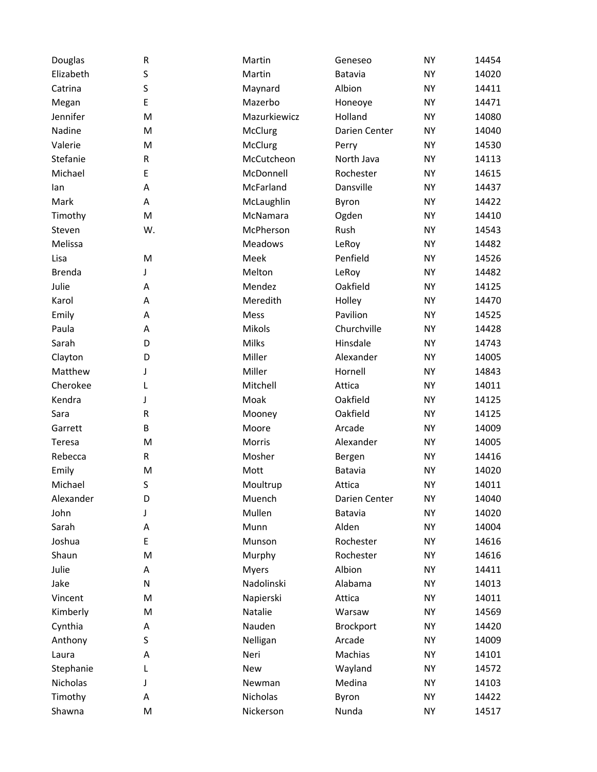| Douglas       | ${\sf R}$ | Martin        | Geneseo       | <b>NY</b> | 14454 |
|---------------|-----------|---------------|---------------|-----------|-------|
| Elizabeth     | S         | Martin        | Batavia       | <b>NY</b> | 14020 |
| Catrina       | S         | Maynard       | Albion        | <b>NY</b> | 14411 |
| Megan         | E         | Mazerbo       | Honeoye       | <b>NY</b> | 14471 |
| Jennifer      | M         | Mazurkiewicz  | Holland       | <b>NY</b> | 14080 |
| Nadine        | M         | McClurg       | Darien Center | <b>NY</b> | 14040 |
| Valerie       | M         | McClurg       | Perry         | <b>NY</b> | 14530 |
| Stefanie      | R         | McCutcheon    | North Java    | <b>NY</b> | 14113 |
| Michael       | E         | McDonnell     | Rochester     | <b>NY</b> | 14615 |
| lan           | Α         | McFarland     | Dansville     | <b>NY</b> | 14437 |
| Mark          | Α         | McLaughlin    | Byron         | <b>NY</b> | 14422 |
| Timothy       | M         | McNamara      | Ogden         | <b>NY</b> | 14410 |
| Steven        | W.        | McPherson     | Rush          | <b>NY</b> | 14543 |
| Melissa       |           | Meadows       | LeRoy         | <b>NY</b> | 14482 |
| Lisa          | M         | Meek          | Penfield      | <b>NY</b> | 14526 |
| <b>Brenda</b> | J         | Melton        | LeRoy         | <b>NY</b> | 14482 |
| Julie         | Α         | Mendez        | Oakfield      | <b>NY</b> | 14125 |
| Karol         | А         | Meredith      | Holley        | <b>NY</b> | 14470 |
| Emily         | А         | Mess          | Pavilion      | <b>NY</b> | 14525 |
| Paula         | Α         | <b>Mikols</b> | Churchville   | <b>NY</b> | 14428 |
| Sarah         | D         | <b>Milks</b>  | Hinsdale      | <b>NY</b> | 14743 |
| Clayton       | D         | Miller        | Alexander     | <b>NY</b> | 14005 |
| Matthew       | J         | Miller        | Hornell       | <b>NY</b> | 14843 |
| Cherokee      | L         | Mitchell      | Attica        | <b>NY</b> | 14011 |
| Kendra        | J         | Moak          | Oakfield      | <b>NY</b> | 14125 |
| Sara          | R         | Mooney        | Oakfield      | <b>NY</b> | 14125 |
| Garrett       | B         | Moore         | Arcade        | <b>NY</b> | 14009 |
| Teresa        | M         | Morris        | Alexander     | <b>NY</b> | 14005 |
| Rebecca       | R         | Mosher        | Bergen        | <b>NY</b> | 14416 |
| Emily         | M         | Mott          | Batavia       | <b>NY</b> | 14020 |
| Michael       | S         | Moultrup      | Attica        | <b>NY</b> | 14011 |
| Alexander     | D         | Muench        | Darien Center | <b>NY</b> | 14040 |
| John          | J         | Mullen        | Batavia       | <b>NY</b> | 14020 |
| Sarah         | А         | Munn          | Alden         | <b>NY</b> | 14004 |
| Joshua        | E         | Munson        | Rochester     | <b>NY</b> | 14616 |
| Shaun         | M         | Murphy        | Rochester     | <b>NY</b> | 14616 |
| Julie         | Α         | <b>Myers</b>  | Albion        | NY        | 14411 |
| Jake          | N         | Nadolinski    | Alabama       | <b>NY</b> | 14013 |
| Vincent       | M         | Napierski     | Attica        | <b>NY</b> | 14011 |
| Kimberly      | M         | Natalie       | Warsaw        | <b>NY</b> | 14569 |
| Cynthia       | А         | Nauden        | Brockport     | <b>NY</b> | 14420 |
| Anthony       | S         | Nelligan      | Arcade        | <b>NY</b> | 14009 |
| Laura         | Α         | Neri          | Machias       | <b>NY</b> | 14101 |
| Stephanie     | L         | New           | Wayland       | NY        | 14572 |
| Nicholas      | J         | Newman        | Medina        | <b>NY</b> | 14103 |
| Timothy       | А         | Nicholas      | Byron         | <b>NY</b> | 14422 |
| Shawna        | M         | Nickerson     | Nunda         | <b>NY</b> | 14517 |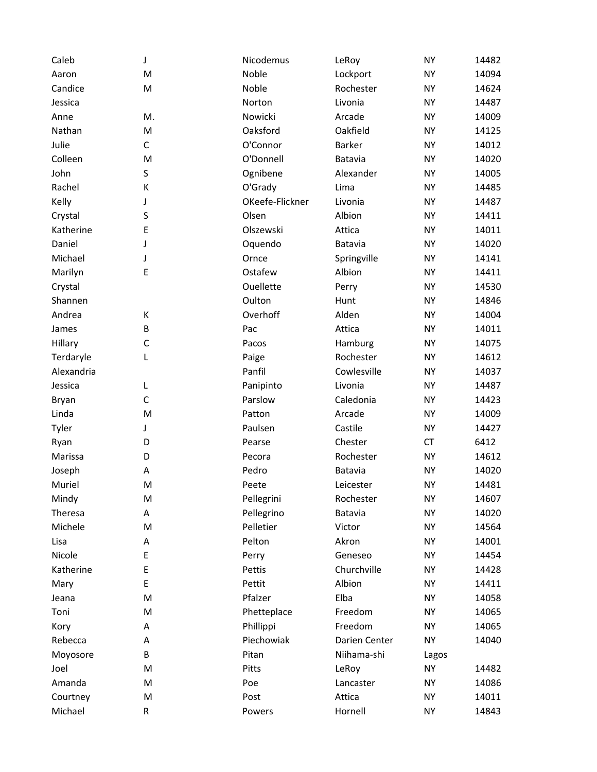| Caleb      | J           | Nicodemus       | LeRoy         | <b>NY</b> | 14482 |
|------------|-------------|-----------------|---------------|-----------|-------|
| Aaron      | M           | Noble           | Lockport      | <b>NY</b> | 14094 |
| Candice    | M           | Noble           | Rochester     | <b>NY</b> | 14624 |
| Jessica    |             | Norton          | Livonia       | <b>NY</b> | 14487 |
| Anne       | M.          | Nowicki         | Arcade        | <b>NY</b> | 14009 |
| Nathan     | M           | Oaksford        | Oakfield      | <b>NY</b> | 14125 |
| Julie      | $\mathsf C$ | O'Connor        | Barker        | <b>NY</b> | 14012 |
| Colleen    | M           | O'Donnell       | Batavia       | <b>NY</b> | 14020 |
| John       | S           | Ognibene        | Alexander     | <b>NY</b> | 14005 |
| Rachel     | К           | O'Grady         | Lima          | <b>NY</b> | 14485 |
| Kelly      | J           | OKeefe-Flickner | Livonia       | <b>NY</b> | 14487 |
| Crystal    | S           | Olsen           | Albion        | <b>NY</b> | 14411 |
| Katherine  | E           | Olszewski       | Attica        | <b>NY</b> | 14011 |
| Daniel     | J           | Oquendo         | Batavia       | <b>NY</b> | 14020 |
| Michael    | J           | Ornce           | Springville   | <b>NY</b> | 14141 |
| Marilyn    | E           | Ostafew         | Albion        | <b>NY</b> | 14411 |
| Crystal    |             | Ouellette       | Perry         | <b>NY</b> | 14530 |
| Shannen    |             | Oulton          | Hunt          | <b>NY</b> | 14846 |
| Andrea     | К           | Overhoff        | Alden         | <b>NY</b> | 14004 |
| James      | B           | Pac             | Attica        | <b>NY</b> | 14011 |
| Hillary    | C           | Pacos           | Hamburg       | <b>NY</b> | 14075 |
| Terdaryle  | L           | Paige           | Rochester     | <b>NY</b> | 14612 |
| Alexandria |             | Panfil          | Cowlesville   | <b>NY</b> | 14037 |
| Jessica    | L           | Panipinto       | Livonia       | <b>NY</b> | 14487 |
| Bryan      | C           | Parslow         | Caledonia     | <b>NY</b> | 14423 |
| Linda      | M           | Patton          | Arcade        | <b>NY</b> | 14009 |
| Tyler      | J           | Paulsen         | Castile       | <b>NY</b> | 14427 |
| Ryan       | D           | Pearse          | Chester       | CT        | 6412  |
| Marissa    | D           | Pecora          | Rochester     | <b>NY</b> | 14612 |
| Joseph     | А           | Pedro           | Batavia       | <b>NY</b> | 14020 |
| Muriel     | M           | Peete           | Leicester     | <b>NY</b> | 14481 |
| Mindy      | M           | Pellegrini      | Rochester     | <b>NY</b> | 14607 |
| Theresa    | Α           | Pellegrino      | Batavia       | <b>NY</b> | 14020 |
| Michele    | M           | Pelletier       | Victor        | <b>NY</b> | 14564 |
| Lisa       | A           | Pelton          | Akron         | <b>NY</b> | 14001 |
| Nicole     | E           | Perry           | Geneseo       | <b>NY</b> | 14454 |
| Katherine  | E           | Pettis          | Churchville   | <b>NY</b> | 14428 |
| Mary       | E           | Pettit          | Albion        | <b>NY</b> | 14411 |
| Jeana      | M           | Pfalzer         | Elba          | <b>NY</b> | 14058 |
| Toni       | M           | Phetteplace     | Freedom       | <b>NY</b> | 14065 |
| Kory       | Α           | Phillippi       | Freedom       | <b>NY</b> | 14065 |
| Rebecca    | А           | Piechowiak      | Darien Center | <b>NY</b> | 14040 |
| Moyosore   | B           | Pitan           | Niihama-shi   | Lagos     |       |
| Joel       | M           | Pitts           | LeRoy         | <b>NY</b> | 14482 |
| Amanda     | M           | Poe             | Lancaster     | <b>NY</b> | 14086 |
| Courtney   | M           | Post            | Attica        | <b>NY</b> | 14011 |
| Michael    | R           | Powers          | Hornell       | <b>NY</b> | 14843 |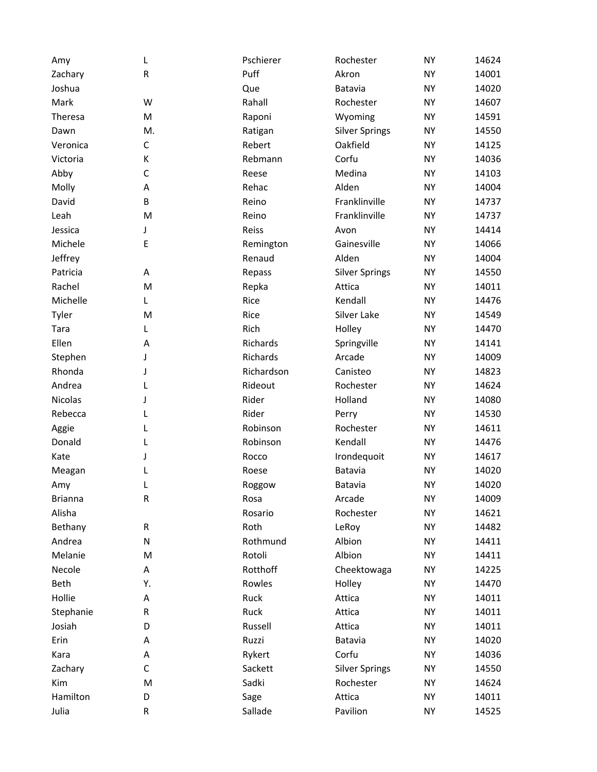| Amy            | L           | Pschierer  | Rochester             | <b>NY</b> | 14624 |
|----------------|-------------|------------|-----------------------|-----------|-------|
| Zachary        | ${\sf R}$   | Puff       | Akron                 | <b>NY</b> | 14001 |
| Joshua         |             | Que        | Batavia               | <b>NY</b> | 14020 |
| Mark           | W           | Rahall     | Rochester             | <b>NY</b> | 14607 |
| Theresa        | M           | Raponi     | Wyoming               | <b>NY</b> | 14591 |
| Dawn           | M.          | Ratigan    | <b>Silver Springs</b> | <b>NY</b> | 14550 |
| Veronica       | C           | Rebert     | Oakfield              | <b>NY</b> | 14125 |
| Victoria       | К           | Rebmann    | Corfu                 | <b>NY</b> | 14036 |
| Abby           | $\mathsf C$ | Reese      | Medina                | <b>NY</b> | 14103 |
| Molly          | Α           | Rehac      | Alden                 | <b>NY</b> | 14004 |
| David          | B           | Reino      | Franklinville         | <b>NY</b> | 14737 |
| Leah           | M           | Reino      | Franklinville         | <b>NY</b> | 14737 |
| Jessica        | J           | Reiss      | Avon                  | <b>NY</b> | 14414 |
| Michele        | E           | Remington  | Gainesville           | <b>NY</b> | 14066 |
| Jeffrey        |             | Renaud     | Alden                 | <b>NY</b> | 14004 |
| Patricia       | Α           | Repass     | <b>Silver Springs</b> | <b>NY</b> | 14550 |
| Rachel         | M           | Repka      | Attica                | <b>NY</b> | 14011 |
| Michelle       | L           | Rice       | Kendall               | <b>NY</b> | 14476 |
| Tyler          | M           | Rice       | Silver Lake           | <b>NY</b> | 14549 |
| Tara           | L           | Rich       | Holley                | <b>NY</b> | 14470 |
| Ellen          | Α           | Richards   | Springville           | <b>NY</b> | 14141 |
| Stephen        | J           | Richards   | Arcade                | <b>NY</b> | 14009 |
| Rhonda         | J           | Richardson | Canisteo              | <b>NY</b> | 14823 |
| Andrea         |             | Rideout    | Rochester             | <b>NY</b> | 14624 |
| <b>Nicolas</b> | J           | Rider      | Holland               | <b>NY</b> | 14080 |
| Rebecca        | L           | Rider      | Perry                 | <b>NY</b> | 14530 |
| Aggie          | L           | Robinson   | Rochester             | <b>NY</b> | 14611 |
| Donald         | L           | Robinson   | Kendall               | <b>NY</b> | 14476 |
| Kate           | J           | Rocco      | Irondequoit           | <b>NY</b> | 14617 |
| Meagan         | L           | Roese      | Batavia               | <b>NY</b> | 14020 |
| Amy            |             | Roggow     | Batavia               | <b>NY</b> | 14020 |
| <b>Brianna</b> | ${\sf R}$   | Rosa       | Arcade                | <b>NY</b> | 14009 |
| Alisha         |             | Rosario    | Rochester             | <b>NY</b> | 14621 |
| Bethany        | R           | Roth       | LeRoy                 | <b>NY</b> | 14482 |
| Andrea         | N           | Rothmund   | Albion                | <b>NY</b> | 14411 |
| Melanie        | M           | Rotoli     | Albion                | <b>NY</b> | 14411 |
| Necole         | А           | Rotthoff   | Cheektowaga           | ΝY        | 14225 |
| Beth           | Υ.          | Rowles     | Holley                | <b>NY</b> | 14470 |
| Hollie         | А           | Ruck       | Attica                | ΝY        | 14011 |
| Stephanie      | R           | Ruck       | Attica                | <b>NY</b> | 14011 |
| Josiah         | D           | Russell    | Attica                | <b>NY</b> | 14011 |
| Erin           | Α           | Ruzzi      | Batavia               | <b>NY</b> | 14020 |
| Kara           | А           | Rykert     | Corfu                 | <b>NY</b> | 14036 |
| Zachary        | $\mathsf C$ | Sackett    | <b>Silver Springs</b> | ΝY        | 14550 |
| Kim            | M           | Sadki      | Rochester             | NY        | 14624 |
| Hamilton       | D           | Sage       | Attica                | <b>NY</b> | 14011 |
| Julia          | R           | Sallade    | Pavilion              | <b>NY</b> | 14525 |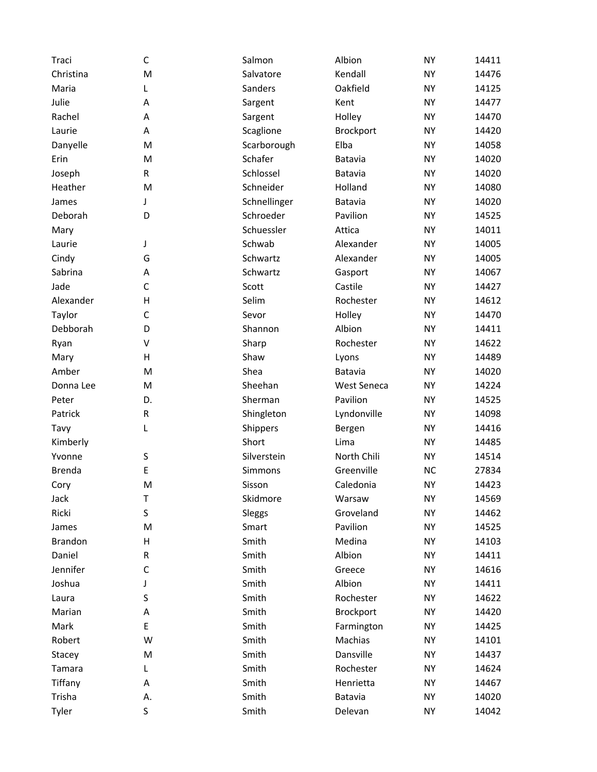| Traci          | C            | Salmon         | Albion             | <b>NY</b> | 14411 |
|----------------|--------------|----------------|--------------------|-----------|-------|
| Christina      | M            | Salvatore      | Kendall            | <b>NY</b> | 14476 |
| Maria          | L            | Sanders        | Oakfield           | <b>NY</b> | 14125 |
| Julie          | Α            | Sargent        | Kent               | <b>NY</b> | 14477 |
| Rachel         | Α            | Sargent        | Holley             | <b>NY</b> | 14470 |
| Laurie         | Α            | Scaglione      | <b>Brockport</b>   | <b>NY</b> | 14420 |
| Danyelle       | M            | Scarborough    | Elba               | <b>NY</b> | 14058 |
| Erin           | M            | Schafer        | Batavia            | <b>NY</b> | 14020 |
| Joseph         | R            | Schlossel      | Batavia            | <b>NY</b> | 14020 |
| Heather        | M            | Schneider      | Holland            | <b>NY</b> | 14080 |
| James          | J            | Schnellinger   | Batavia            | <b>NY</b> | 14020 |
| Deborah        | D            | Schroeder      | Pavilion           | <b>NY</b> | 14525 |
| Mary           |              | Schuessler     | Attica             | <b>NY</b> | 14011 |
| Laurie         | J            | Schwab         | Alexander          | <b>NY</b> | 14005 |
| Cindy          | G            | Schwartz       | Alexander          | <b>NY</b> | 14005 |
| Sabrina        | Α            | Schwartz       | Gasport            | <b>NY</b> | 14067 |
| Jade           | $\mathsf{C}$ | Scott          | Castile            | <b>NY</b> | 14427 |
| Alexander      | Η            | Selim          | Rochester          | <b>NY</b> | 14612 |
| Taylor         | $\mathsf{C}$ | Sevor          | Holley             | <b>NY</b> | 14470 |
| Debborah       | D            | Shannon        | Albion             | <b>NY</b> | 14411 |
| Ryan           | V            | Sharp          | Rochester          | <b>NY</b> | 14622 |
| Mary           | н            | Shaw           | Lyons              | <b>NY</b> | 14489 |
| Amber          | M            | Shea           | Batavia            | <b>NY</b> | 14020 |
| Donna Lee      | M            | Sheehan        | <b>West Seneca</b> | <b>NY</b> | 14224 |
| Peter          | D.           | Sherman        | Pavilion           | <b>NY</b> | 14525 |
| Patrick        | ${\sf R}$    | Shingleton     | Lyndonville        | <b>NY</b> | 14098 |
| Tavy           | L            | Shippers       | Bergen             | <b>NY</b> | 14416 |
| Kimberly       |              | Short          | Lima               | <b>NY</b> | 14485 |
| Yvonne         | S            | Silverstein    | North Chili        | <b>NY</b> | 14514 |
| <b>Brenda</b>  | E            | <b>Simmons</b> | Greenville         | <b>NC</b> | 27834 |
| Cory           | M            | Sisson         | Caledonia          | <b>NY</b> | 14423 |
| Jack           | Τ            | Skidmore       | Warsaw             | <b>NY</b> | 14569 |
| Ricki          | S            | Sleggs         | Groveland          | <b>NY</b> | 14462 |
| James          | M            | Smart          | Pavilion           | <b>NY</b> | 14525 |
| <b>Brandon</b> | Н            | Smith          | Medina             | <b>NY</b> | 14103 |
| Daniel         | R            | Smith          | Albion             | <b>NY</b> | 14411 |
| Jennifer       | C            | Smith          | Greece             | NY        | 14616 |
| Joshua         | J            | Smith          | Albion             | <b>NY</b> | 14411 |
| Laura          | S            | Smith          | Rochester          | ΝY        | 14622 |
| Marian         | А            | Smith          | Brockport          | <b>NY</b> | 14420 |
| Mark           | E            | Smith          | Farmington         | <b>NY</b> | 14425 |
| Robert         | W            | Smith          | Machias            | <b>NY</b> | 14101 |
| Stacey         | M            | Smith          | Dansville          | <b>NY</b> | 14437 |
| Tamara         | L            | Smith          | Rochester          | ΝY        | 14624 |
| Tiffany        | А            | Smith          | Henrietta          | <b>NY</b> | 14467 |
| Trisha         | Α.           | Smith          | Batavia            | ΝY        | 14020 |
| Tyler          | S            | Smith          | Delevan            | <b>NY</b> | 14042 |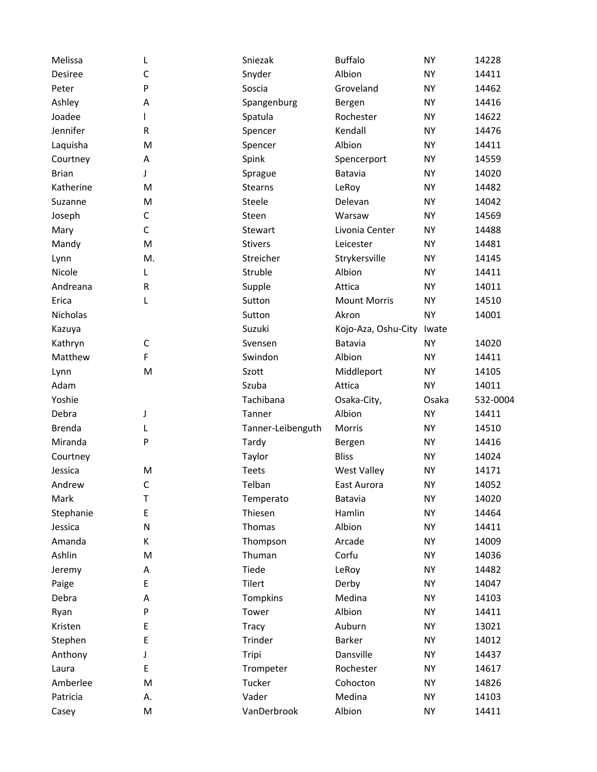| Melissa           | L            | Sniezak              | <b>Buffalo</b>      | <b>NY</b>              | 14228          |
|-------------------|--------------|----------------------|---------------------|------------------------|----------------|
| Desiree           | $\mathsf C$  | Snyder               | Albion              | <b>NY</b>              | 14411          |
| Peter             | P            | Soscia               | Groveland           | <b>NY</b>              | 14462          |
| Ashley            | А            | Spangenburg          | Bergen              | <b>NY</b>              | 14416          |
| Joadee            |              | Spatula              | Rochester           | <b>NY</b>              | 14622          |
| Jennifer          | R            | Spencer              | Kendall             | <b>NY</b>              | 14476          |
| Laquisha          | M            | Spencer              | Albion              | <b>NY</b>              | 14411          |
| Courtney          | Α            | Spink                | Spencerport         | <b>NY</b>              | 14559          |
| <b>Brian</b>      | J            | Sprague              | Batavia             | <b>NY</b>              | 14020          |
| Katherine         | M            | <b>Stearns</b>       | LeRoy               | <b>NY</b>              | 14482          |
| Suzanne           | M            | Steele               | Delevan             | <b>NY</b>              | 14042          |
| Joseph            | $\mathsf C$  | Steen                | Warsaw              | <b>NY</b>              | 14569          |
| Mary              | $\mathsf C$  | Stewart              | Livonia Center      | <b>NY</b>              | 14488          |
| Mandy             | M            | <b>Stivers</b>       | Leicester           | <b>NY</b>              | 14481          |
| Lynn              | M.           | Streicher            | Strykersville       | <b>NY</b>              | 14145          |
| Nicole            | L            | Struble              | Albion              | <b>NY</b>              | 14411          |
| Andreana          | ${\sf R}$    | Supple               | Attica              | <b>NY</b>              | 14011          |
| Erica             | L            | Sutton               | <b>Mount Morris</b> | <b>NY</b>              | 14510          |
| <b>Nicholas</b>   |              | Sutton               | Akron               | <b>NY</b>              | 14001          |
| Kazuya            |              | Suzuki               | Kojo-Aza, Oshu-City | Iwate                  |                |
| Kathryn           | $\mathsf C$  | Svensen              | Batavia             | <b>NY</b>              | 14020          |
| Matthew           | F            | Swindon              | Albion              | <b>NY</b>              | 14411          |
| Lynn              | M            | Szott                | Middleport          | <b>NY</b>              | 14105          |
| Adam              |              | Szuba                | Attica              | <b>NY</b>              | 14011          |
| Yoshie            |              | Tachibana            | Osaka-City,         | Osaka                  | 532-0004       |
| Debra             | J            | Tanner               | Albion              | <b>NY</b>              | 14411          |
| <b>Brenda</b>     | L            | Tanner-Leibenguth    | Morris              | <b>NY</b>              | 14510          |
| Miranda           | P            | Tardy                | Bergen              | <b>NY</b>              | 14416          |
| Courtney          |              | Taylor               | <b>Bliss</b>        | <b>NY</b>              | 14024          |
| Jessica           | M            | <b>Teets</b>         | <b>West Valley</b>  | <b>NY</b>              | 14171          |
| Andrew            | $\mathsf C$  | Telban               | East Aurora         | <b>NY</b>              | 14052          |
| Mark              | T            | Temperato            | Batavia             | <b>NY</b>              | 14020          |
| Stephanie         | E            | Thiesen              | Hamlin              | <b>NY</b>              | 14464          |
| Jessica           | $\mathsf{N}$ | Thomas               | Albion              | <b>NY</b>              | 14411          |
| Amanda            | К            | Thompson             | Arcade              | <b>NY</b>              | 14009          |
| Ashlin            | M            | Thuman               | Corfu               | <b>NY</b>              | 14036          |
| Jeremy            | А            | Tiede                | LeRoy               | <b>NY</b>              | 14482          |
| Paige             | E            | Tilert               | Derby               | <b>NY</b>              | 14047          |
| Debra             | Α            | Tompkins             | Medina              | <b>NY</b>              | 14103          |
| Ryan              | P            | Tower                | Albion              | <b>NY</b>              | 14411          |
| Kristen           | E            | <b>Tracy</b>         | Auburn              | <b>NY</b>              | 13021          |
| Stephen           | E            | Trinder              | Barker              | <b>NY</b>              | 14012          |
| Anthony           | J            | Tripi                | Dansville           | <b>NY</b>              | 14437          |
| Laura             | E            | Trompeter            | Rochester           | <b>NY</b>              | 14617          |
| Amberlee          |              |                      |                     |                        |                |
|                   | M            | Tucker               | Cohocton            | <b>NY</b>              | 14826          |
| Patricia<br>Casey | А.<br>M      | Vader<br>VanDerbrook | Medina<br>Albion    | <b>NY</b><br><b>NY</b> | 14103<br>14411 |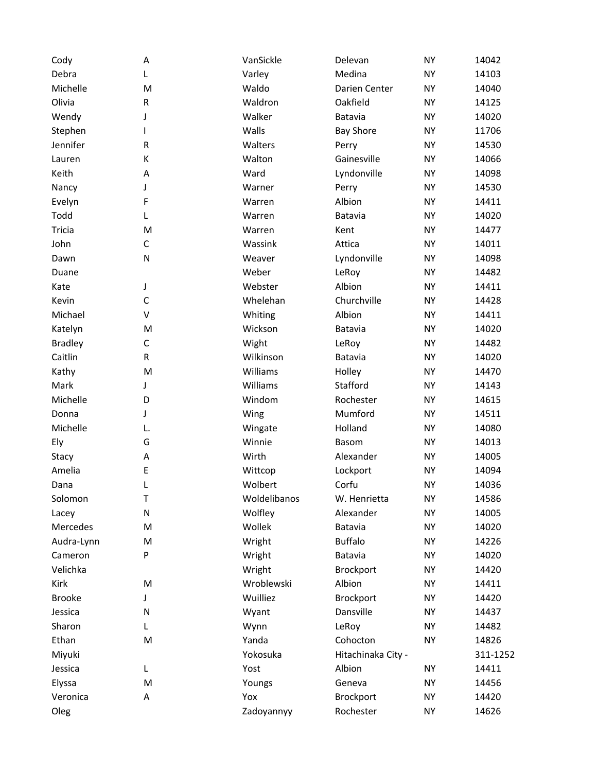| Cody           | А           | VanSickle    | Delevan            | <b>NY</b> | 14042    |
|----------------|-------------|--------------|--------------------|-----------|----------|
| Debra          | L           | Varley       | Medina             | <b>NY</b> | 14103    |
| Michelle       | M           | Waldo        | Darien Center      | <b>NY</b> | 14040    |
| Olivia         | ${\sf R}$   | Waldron      | Oakfield           | <b>NY</b> | 14125    |
| Wendy          | J           | Walker       | Batavia            | <b>NY</b> | 14020    |
| Stephen        |             | Walls        | <b>Bay Shore</b>   | <b>NY</b> | 11706    |
| Jennifer       | ${\sf R}$   | Walters      | Perry              | <b>NY</b> | 14530    |
| Lauren         | К           | Walton       | Gainesville        | <b>NY</b> | 14066    |
| Keith          | Α           | Ward         | Lyndonville        | <b>NY</b> | 14098    |
| Nancy          | J           | Warner       | Perry              | <b>NY</b> | 14530    |
| Evelyn         | F           | Warren       | Albion             | <b>NY</b> | 14411    |
| Todd           | L           | Warren       | Batavia            | <b>NY</b> | 14020    |
| Tricia         | M           | Warren       | Kent               | <b>NY</b> | 14477    |
| John           | $\mathsf C$ | Wassink      | Attica             | <b>NY</b> | 14011    |
| Dawn           | N           | Weaver       | Lyndonville        | <b>NY</b> | 14098    |
| Duane          |             | Weber        | LeRoy              | <b>NY</b> | 14482    |
| Kate           | J           | Webster      | Albion             | <b>NY</b> | 14411    |
| Kevin          | $\mathsf C$ | Whelehan     | Churchville        | <b>NY</b> | 14428    |
| Michael        | V           | Whiting      | Albion             | <b>NY</b> | 14411    |
| Katelyn        | M           | Wickson      | Batavia            | <b>NY</b> | 14020    |
| <b>Bradley</b> | C           | Wight        | LeRoy              | <b>NY</b> | 14482    |
| Caitlin        | R           | Wilkinson    | Batavia            | <b>NY</b> | 14020    |
| Kathy          | M           | Williams     | Holley             | <b>NY</b> | 14470    |
| Mark           | J           | Williams     | Stafford           | <b>NY</b> | 14143    |
| Michelle       | D           | Windom       | Rochester          | <b>NY</b> | 14615    |
| Donna          | J           | Wing         | Mumford            | <b>NY</b> | 14511    |
| Michelle       | L.          | Wingate      | Holland            | <b>NY</b> | 14080    |
| Ely            | G           | Winnie       | <b>Basom</b>       | <b>NY</b> | 14013    |
| Stacy          | A           | Wirth        | Alexander          | <b>NY</b> | 14005    |
| Amelia         | E           | Wittcop      | Lockport           | <b>NY</b> | 14094    |
| Dana           | L           | Wolbert      | Corfu              | <b>NY</b> | 14036    |
| Solomon        | T           | Woldelibanos | W. Henrietta       | <b>NY</b> | 14586    |
| Lacey          | ${\sf N}$   | Wolfley      | Alexander          | <b>NY</b> | 14005    |
| Mercedes       | M           | Wollek       | Batavia            | <b>NY</b> | 14020    |
| Audra-Lynn     | M           | Wright       | <b>Buffalo</b>     | <b>NY</b> | 14226    |
| Cameron        | P           | Wright       | Batavia            | <b>NY</b> | 14020    |
| Velichka       |             | Wright       | <b>Brockport</b>   | <b>NY</b> | 14420    |
| Kirk           | M           | Wroblewski   | Albion             | <b>NY</b> | 14411    |
| <b>Brooke</b>  | J           | Wuilliez     | Brockport          | <b>NY</b> | 14420    |
| Jessica        | N           | Wyant        | Dansville          | <b>NY</b> | 14437    |
| Sharon         | L           | Wynn         | LeRoy              | <b>NY</b> | 14482    |
| Ethan          | M           | Yanda        | Cohocton           | <b>NY</b> | 14826    |
| Miyuki         |             | Yokosuka     | Hitachinaka City - |           | 311-1252 |
| Jessica        | L           | Yost         | Albion             | NY        | 14411    |
| Elyssa         | M           | Youngs       | Geneva             | <b>NY</b> | 14456    |
| Veronica       | А           | Yox          | Brockport          | <b>NY</b> | 14420    |
| Oleg           |             | Zadoyannyy   | Rochester          | <b>NY</b> | 14626    |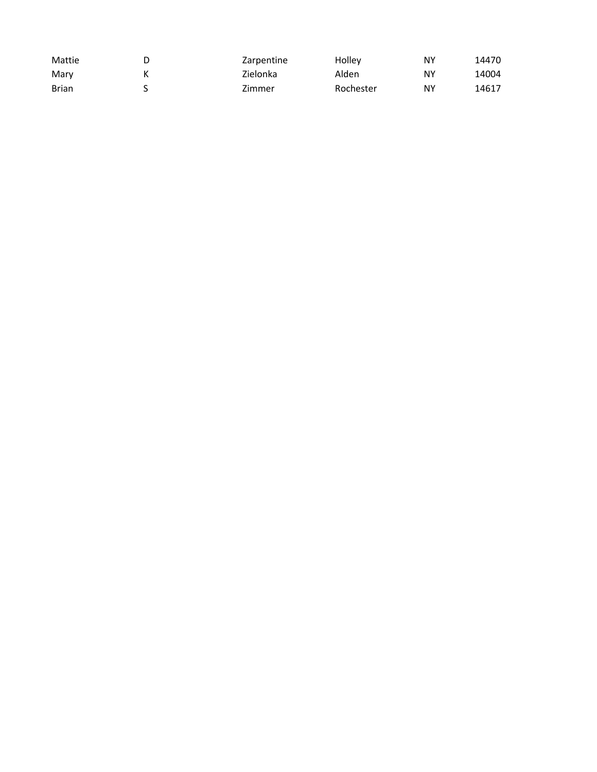| Mattie       | Zarpentine | Holley    | NΥ | 14470 |
|--------------|------------|-----------|----|-------|
| Mary         | Zielonka   | Alden     | ΝY | 14004 |
| <b>Brian</b> | Zimmer     | Rochester | ΝY | 14617 |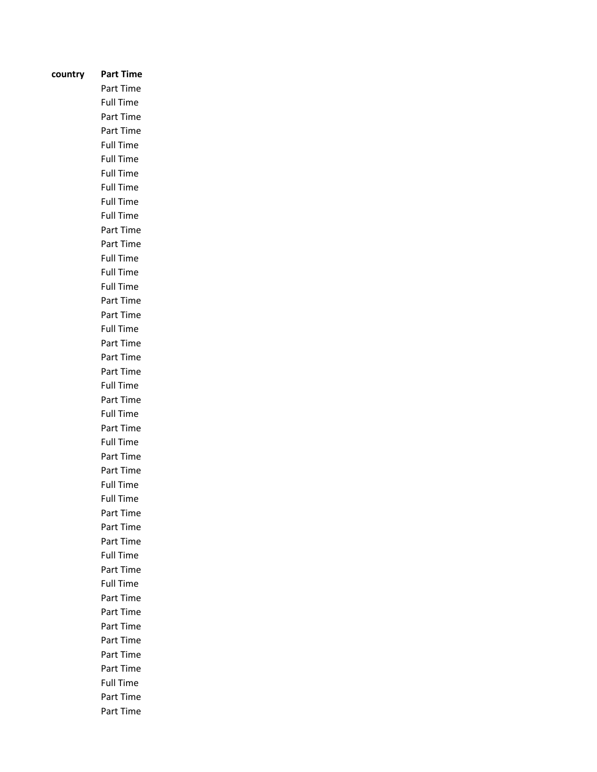| country | Part Time                     |
|---------|-------------------------------|
|         | Part Time                     |
|         | <b>Full Time</b>              |
|         | Part Time                     |
|         | Part Time                     |
|         | <b>Full Time</b>              |
|         | <b>Full Time</b>              |
|         | <b>Full Time</b>              |
|         | <b>Full Time</b>              |
|         |                               |
|         | <b>Full Time</b>              |
|         | <b>Full Time</b>              |
|         | Part Time                     |
|         | Part Time                     |
|         | <b>Full Time</b>              |
|         | <b>Full Time</b>              |
|         | <b>Full Time</b>              |
|         | Part Time                     |
|         | Part Time                     |
|         | <b>Full Time</b>              |
|         | Part Time                     |
|         | Part Time                     |
|         | Part Time                     |
|         | Full Time                     |
|         | Part Time                     |
|         | <b>Full Time</b>              |
|         | Part Time                     |
|         | <b>Full Time</b>              |
|         | Part Time                     |
|         | Part Time                     |
|         | <b>Full Time</b><br>Full Time |
|         |                               |
|         | Part Time<br>Part Time        |
|         | Part Time                     |
|         | <b>Full Time</b>              |
|         | Part Time                     |
|         | <b>Full Time</b>              |
|         | Part Time                     |
|         | Part Time                     |
|         | Part Time                     |
|         | Part Time                     |
|         | Part Time                     |
|         | Part Time                     |
|         | Full Time                     |
|         | Part Time                     |
|         | Part Time                     |
|         |                               |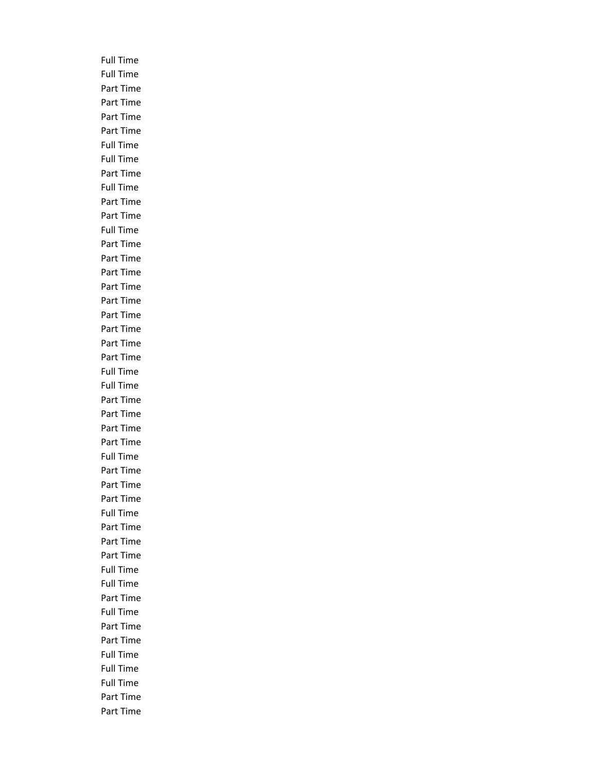Full Time Full Time Part Time Part Time Part Time Part Time Full Time Full Time Part Time Full Time Part Time Part Time Full Time Part Time Part Time Part Time Part Time Part Time Part Time Part Time Part Time Part Time Full Time Full Time Part Time Part Time Part Time Part Time Full Time Part Time Part Time Part Time Full Time Part Time Part Time Part Time Full Time Full Time Part Time Full Time Part Time Part Time Full Time Full Time Full Time Part Time Part Time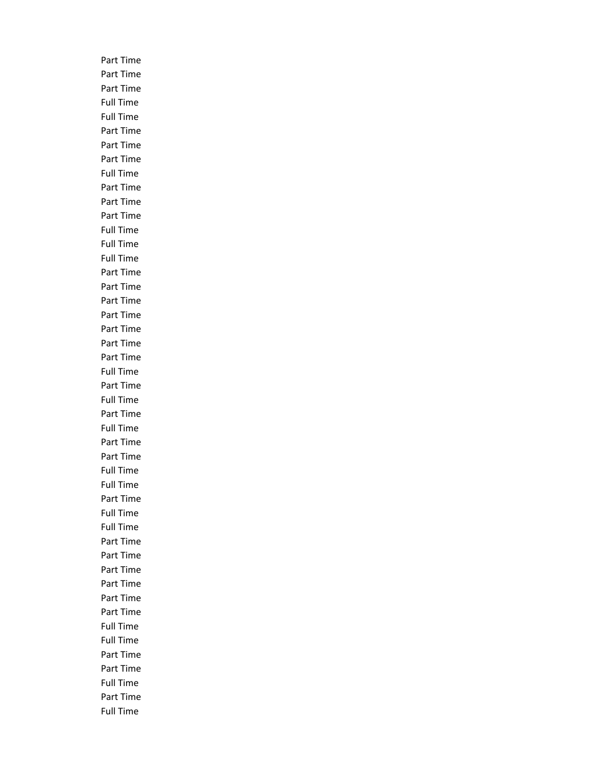Part Time Part Time Part Time Full Time Full Time Part Time Part Time Part Time Full Time Part Time Part Time Part Time Full Time Full Time Full Time Part Time Part Time Part Time Part Time Part Time Part Time Part Time Full Time Part Time Full Time Part Time Full Time Part Time Part Time Full Time Full Time Part Time Full Time Full Time Part Time Part Time Part Time Part Time Part Time Part Time Full Time Full Time Part Time Part Time Full Time Part Time Full Time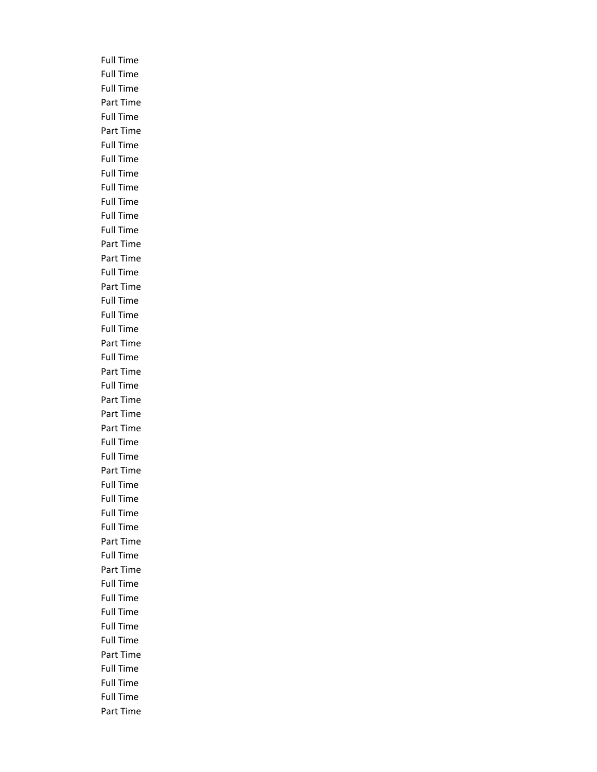Full Time Full Time Full Time Part Time Full Time Part Time Full Time Full Time Full Time Full Time Full Time Full Time Full Time Part Time Part Time Full Time Part Time Full Time Full Time Full Time Part Time Full Time Part Time Full Time Part Time Part Time Part Time Full Time Full Time Part Time Full Time Full Time Full Time Full Time Part Time Full Time Part Time Full Time Full Time Full Time Full Time Full Time Part Time Full Time Full Time Full Time Part Time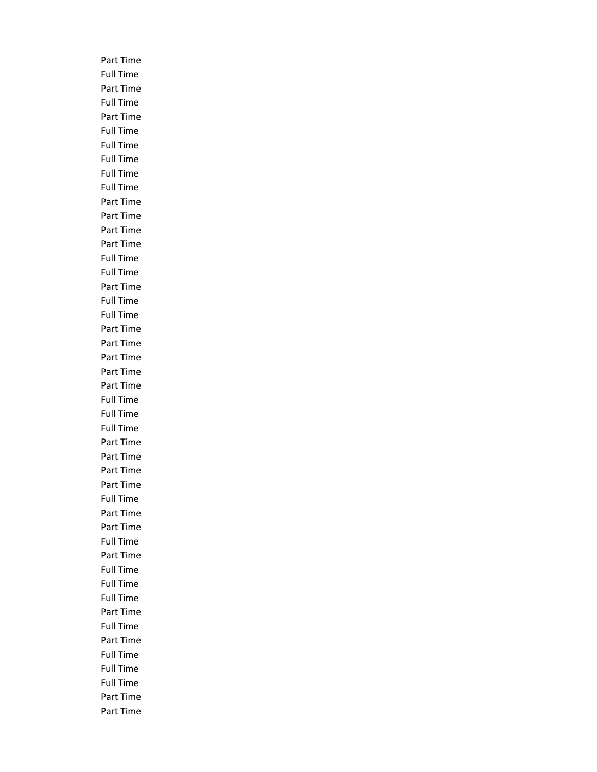Part Time Full Time Part Time Full Time Part Time Full Time Full Time Full Time Full Time Full Time Part Time Part Time Part Time Part Time Full Time Full Time Part Time Full Time Full Time Part Time Part Time Part Time Part Time Part Time Full Time Full Time Full Time Part Time Part Time Part Time Part Time Full Time Part Time Part Time Full Time Part Time Full Time Full Time Full Time Part Time Full Time Part Time Full Time Full Time Full Time Part Time Part Time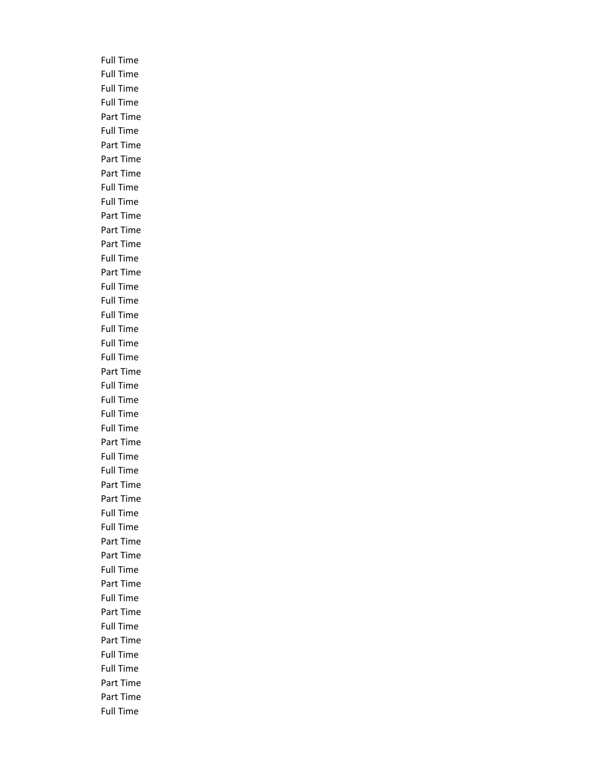Full Time Full Time Full Time Full Time Part Time Full Time Part Time Part Time Part Time Full Time Full Time Part Time Part Time Part Time Full Time Part Time Full Time Full Time Full Time Full Time Full Time Full Time Part Time Full Time Full Time Full Time Full Time Part Time Full Time Full Time Part Time Part Time Full Time Full Time Part Time Part Time Full Time Part Time Full Time Part Time Full Time Part Time Full Time Full Time Part Time Part Time Full Time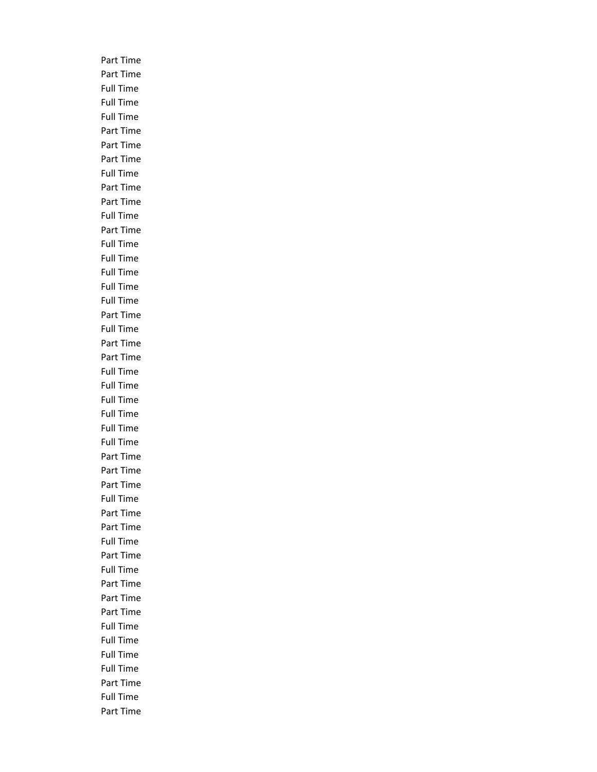Part Time Part Time Full Time Full Time Full Time Part Time Part Time Part Time Full Time Part Time Part Time Full Time Part Time Full Time Full Time Full Time Full Time Full Time Part Time Full Time Part Time Part Time Full Time Full Time Full Time Full Time Full Time Full Time Part Time Part Time Part Time Full Time Part Time Part Time Full Time Part Time Full Time Part Time Part Time Part Time Full Time Full Time Full Time Full Time Part Time Full Time Part Time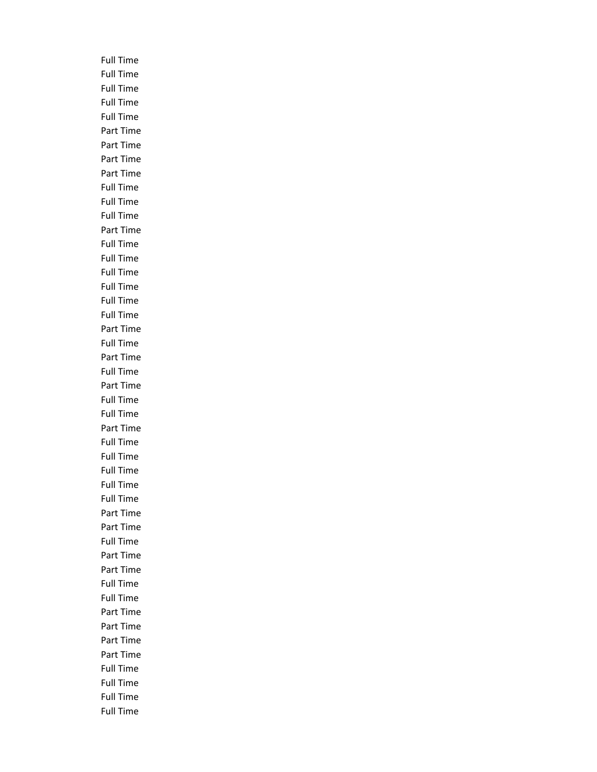Full Time Full Time Full Time Full Time Full Time Part Time Part Time Part Time Part Time Full Time Full Time Full Time Part Time Full Time Full Time Full Time Full Time Full Time Full Time Part Time Full Time Part Time Full Time Part Time Full Time Full Time Part Time Full Time Full Time Full Time Full Time Full Time Part Time Part Time Full Time Part Time Part Time Full Time Full Time Part Time Part Time Part Time Part Time Full Time Full Time Full Time Full Time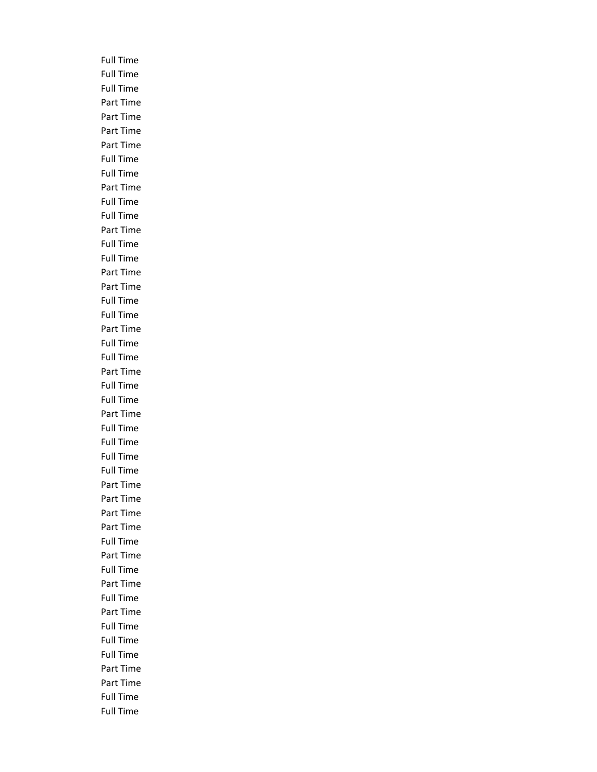Full Time Full Time Full Time Part Time Part Time Part Time Part Time Full Time Full Time Part Time Full Time Full Time Part Time Full Time Full Time Part Time Part Time Full Time Full Time Part Time Full Time Full Time Part Time Full Time Full Time Part Time Full Time Full Time Full Time Full Time Part Time Part Time Part Time Part Time Full Time Part Time Full Time Part Time Full Time Part Time Full Time Full Time Full Time Part Time Part Time Full Time Full Time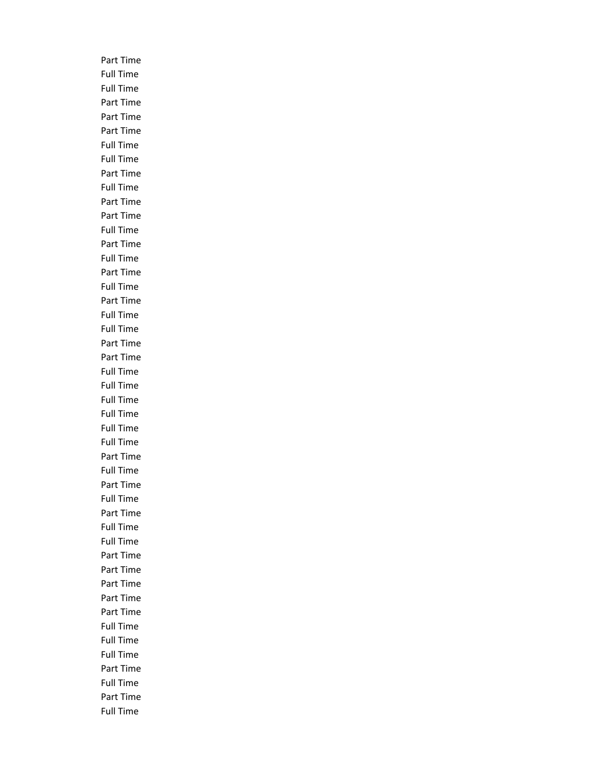Part Time Full Time Full Time Part Time Part Time Part Time Full Time Full Time Part Time Full Time Part Time Part Time Full Time Part Time Full Time Part Time Full Time Part Time Full Time Full Time Part Time Part Time Full Time Full Time Full Time Full Time Full Time Full Time Part Time Full Time Part Time Full Time Part Time Full Time Full Time Part Time Part Time Part Time Part Time Part Time Full Time Full Time Full Time Part Time Full Time Part Time Full Time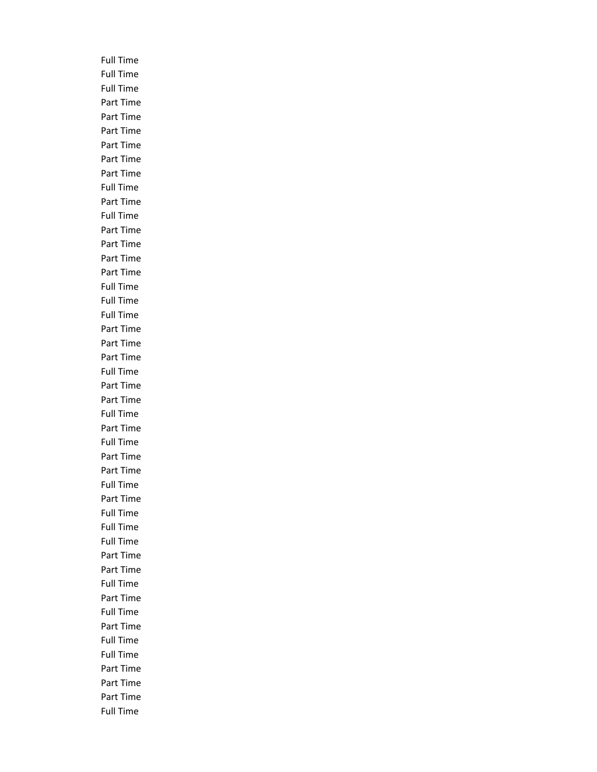Full Time Full Time Full Time Part Time Part Time Part Time Part Time Part Time Part Time Full Time Part Time Full Time Part Time Part Time Part Time Part Time Full Time Full Time Full Time Part Time Part Time Part Time Full Time Part Time Part Time Full Time Part Time Full Time Part Time Part Time Full Time Part Time Full Time Full Time Full Time Part Time Part Time Full Time Part Time Full Time Part Time Full Time Full Time Part Time Part Time Part Time Full Time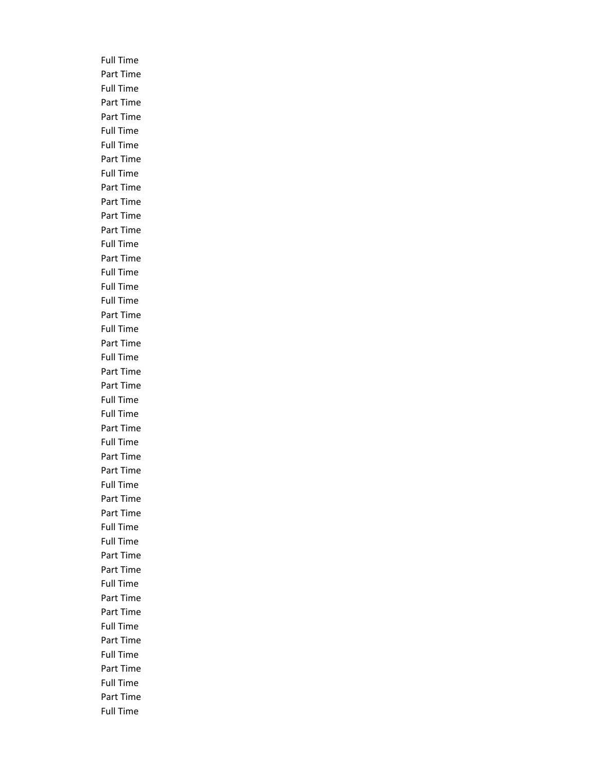Full Time Part Time Full Time Part Time Part Time Full Time Full Time Part Time Full Time Part Time Part Time Part Time Part Time Full Time Part Time Full Time Full Time Full Time Part Time Full Time Part Time Full Time Part Time Part Time Full Time Full Time Part Time Full Time Part Time Part Time Full Time Part Time Part Time Full Time Full Time Part Time Part Time Full Time Part Time Part Time Full Time Part Time Full Time Part Time Full Time Part Time Full Time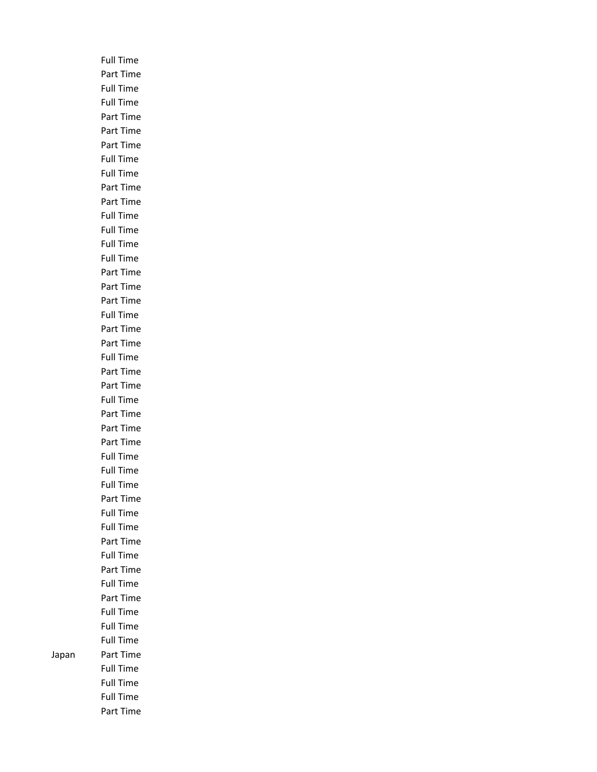Full Time Part Time Full Time Full Time Part Time Part Time Part Time Full Time Full Time Part Time Part Time Full Time Full Time Full Time Full Time Part Time Part Time Part Time Full Time Part Time Part Time Full Time Part Time Part Time Full Time Part Time Part Time Part Time Full Time Full Time Full Time Part Time Full Time Full Time Part Time Full Time Part Time Full Time Part Time Full Time Full Time Full Time Japan Part Time Full Time Full Time Full Time Part Time